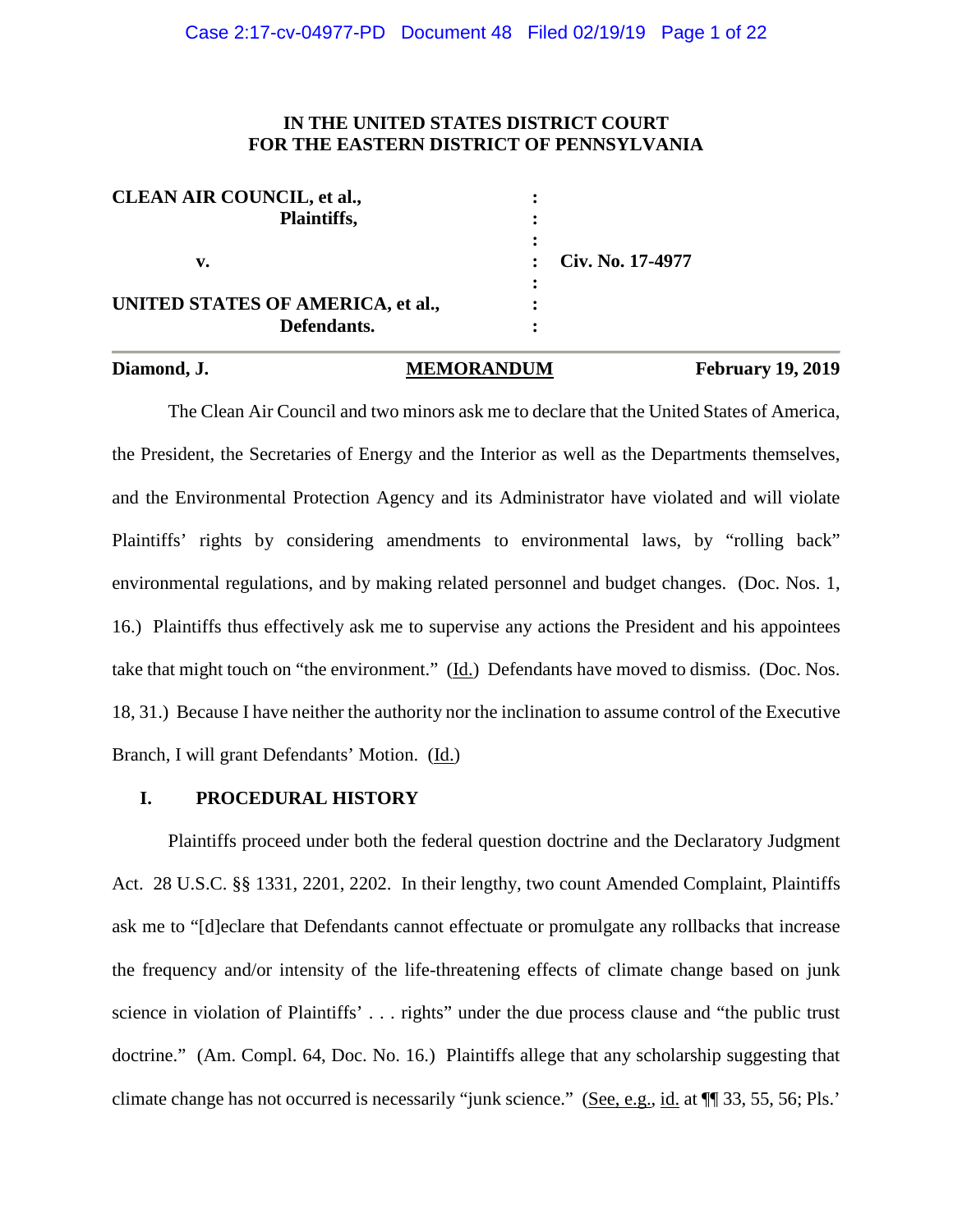# **IN THE UNITED STATES DISTRICT COURT FOR THE EASTERN DISTRICT OF PENNSYLVANIA**

| <b>CLEAN AIR COUNCIL, et al.,</b> |                      |
|-----------------------------------|----------------------|
| Plaintiffs,                       |                      |
|                                   |                      |
| v.                                | : $Civ. No. 17-4977$ |
|                                   |                      |
| UNITED STATES OF AMERICA, et al., |                      |
| Defendants.                       |                      |

### Diamond, J. MEMORANDUM February 19, 2019

The Clean Air Council and two minors ask me to declare that the United States of America, the President, the Secretaries of Energy and the Interior as well as the Departments themselves, and the Environmental Protection Agency and its Administrator have violated and will violate Plaintiffs' rights by considering amendments to environmental laws, by "rolling back" environmental regulations, and by making related personnel and budget changes. (Doc. Nos. 1, 16.) Plaintiffs thus effectively ask me to supervise any actions the President and his appointees take that might touch on "the environment." (Id.) Defendants have moved to dismiss. (Doc. Nos. 18, 31.) Because I have neither the authority nor the inclination to assume control of the Executive Branch, I will grant Defendants' Motion. (Id.)

# **I. PROCEDURAL HISTORY**

Plaintiffs proceed under both the federal question doctrine and the Declaratory Judgment Act. 28 U.S.C. §§ 1331, 2201, 2202. In their lengthy, two count Amended Complaint, Plaintiffs ask me to "[d]eclare that Defendants cannot effectuate or promulgate any rollbacks that increase the frequency and/or intensity of the life-threatening effects of climate change based on junk science in violation of Plaintiffs' . . . rights" under the due process clause and "the public trust doctrine." (Am. Compl. 64, Doc. No. 16.) Plaintiffs allege that any scholarship suggesting that climate change has not occurred is necessarily "junk science." (See, e.g., id. at ¶¶ 33, 55, 56; Pls.'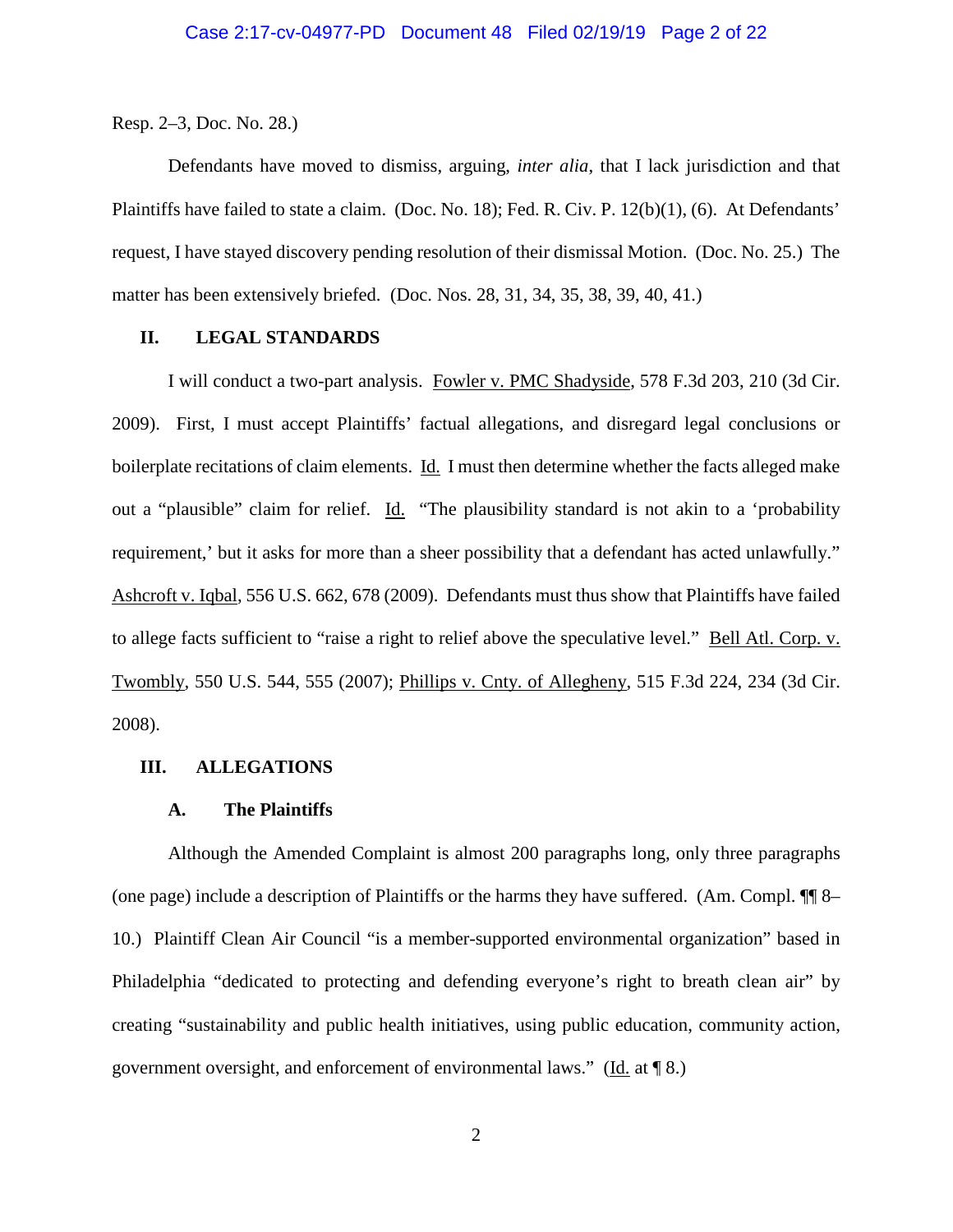Resp. 2–3, Doc. No. 28.)

Defendants have moved to dismiss, arguing, *inter alia*, that I lack jurisdiction and that Plaintiffs have failed to state a claim. (Doc. No. 18); Fed. R. Civ. P. 12(b)(1), (6). At Defendants' request, I have stayed discovery pending resolution of their dismissal Motion. (Doc. No. 25.) The matter has been extensively briefed. (Doc. Nos. 28, 31, 34, 35, 38, 39, 40, 41.)

### **II. LEGAL STANDARDS**

I will conduct a two-part analysis. Fowler v. PMC Shadyside, 578 F.3d 203, 210 (3d Cir. 2009). First, I must accept Plaintiffs' factual allegations, and disregard legal conclusions or boilerplate recitations of claim elements. Id. I must then determine whether the facts alleged make out a "plausible" claim for relief. Id. "The plausibility standard is not akin to a 'probability requirement,' but it asks for more than a sheer possibility that a defendant has acted unlawfully." Ashcroft v. Iqbal, 556 U.S. 662, 678 (2009). Defendants must thus show that Plaintiffs have failed to allege facts sufficient to "raise a right to relief above the speculative level." Bell Atl. Corp. v. Twombly, 550 U.S. 544, 555 (2007); Phillips v. Cnty. of Allegheny, 515 F.3d 224, 234 (3d Cir. 2008).

### **III. ALLEGATIONS**

#### **A. The Plaintiffs**

Although the Amended Complaint is almost 200 paragraphs long, only three paragraphs (one page) include a description of Plaintiffs or the harms they have suffered. (Am. Compl. ¶¶ 8– 10.) Plaintiff Clean Air Council "is a member-supported environmental organization" based in Philadelphia "dedicated to protecting and defending everyone's right to breath clean air" by creating "sustainability and public health initiatives, using public education, community action, government oversight, and enforcement of environmental laws." (Id. at ¶ 8.)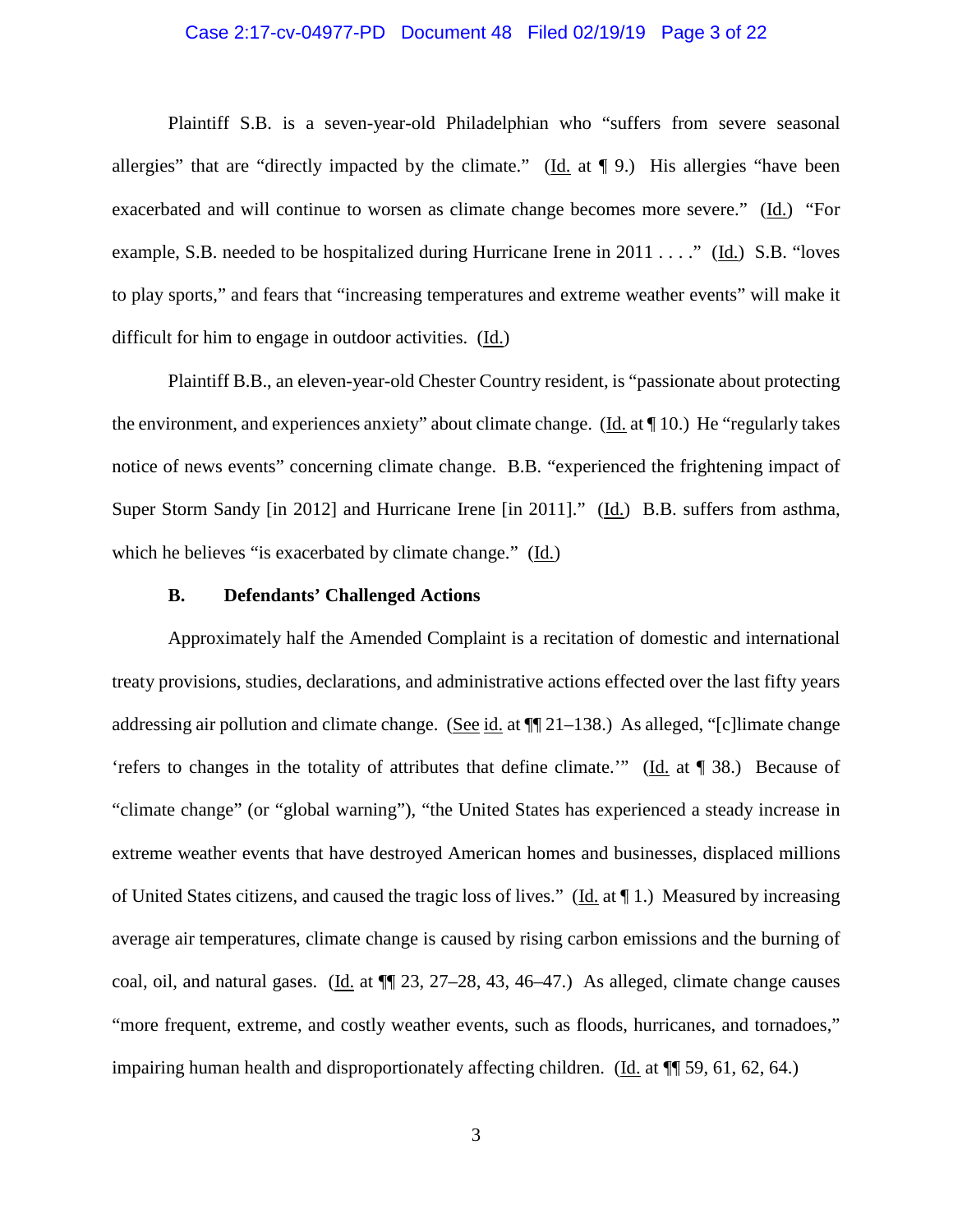#### Case 2:17-cv-04977-PD Document 48 Filed 02/19/19 Page 3 of 22

Plaintiff S.B. is a seven-year-old Philadelphian who "suffers from severe seasonal allergies" that are "directly impacted by the climate." (Id. at  $\P$  9.) His allergies "have been exacerbated and will continue to worsen as climate change becomes more severe." (Id.) "For example, S.B. needed to be hospitalized during Hurricane Irene in 2011 . . . ." (Id.) S.B. "loves to play sports," and fears that "increasing temperatures and extreme weather events" will make it difficult for him to engage in outdoor activities. (Id.)

Plaintiff B.B., an eleven-year-old Chester Country resident, is "passionate about protecting the environment, and experiences anxiety" about climate change. (Id. at ¶ 10.) He "regularly takes notice of news events" concerning climate change. B.B. "experienced the frightening impact of Super Storm Sandy [in 2012] and Hurricane Irene [in 2011]." (Id.) B.B. suffers from asthma, which he believes "is exacerbated by climate change." (Id.)

#### **B. Defendants' Challenged Actions**

Approximately half the Amended Complaint is a recitation of domestic and international treaty provisions, studies, declarations, and administrative actions effected over the last fifty years addressing air pollution and climate change. (See id. at  $\P$  21–138.) As alleged, "[c] limate change 'refers to changes in the totality of attributes that define climate.'" (Id. at ¶ 38.) Because of "climate change" (or "global warning"), "the United States has experienced a steady increase in extreme weather events that have destroyed American homes and businesses, displaced millions of United States citizens, and caused the tragic loss of lives." ( $\underline{Id}$  at  $\P$  1.) Measured by increasing average air temperatures, climate change is caused by rising carbon emissions and the burning of coal, oil, and natural gases. (Id. at ¶¶ 23, 27–28, 43, 46–47.) As alleged, climate change causes "more frequent, extreme, and costly weather events, such as floods, hurricanes, and tornadoes," impairing human health and disproportionately affecting children. (Id. at ¶¶ 59, 61, 62, 64.)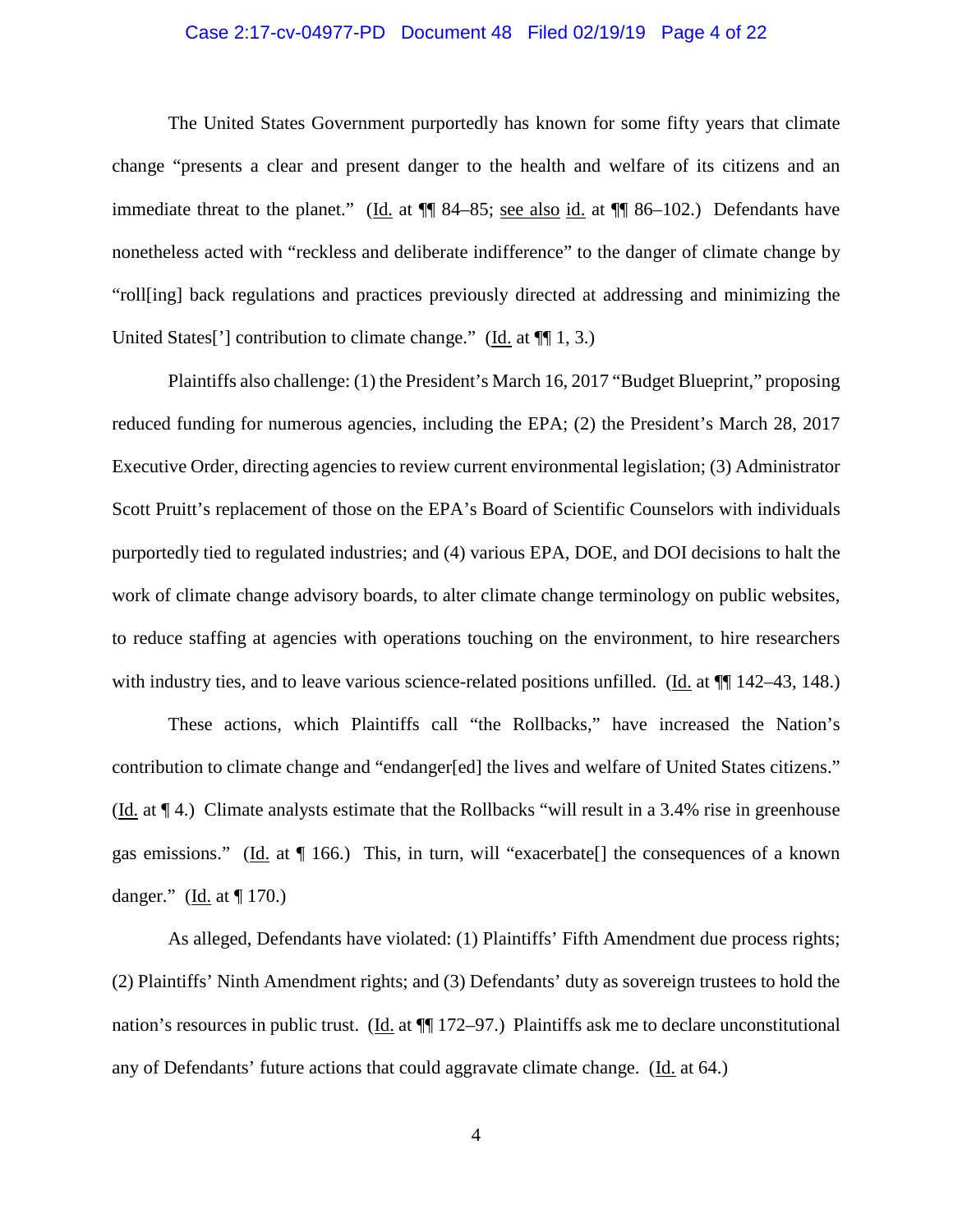#### Case 2:17-cv-04977-PD Document 48 Filed 02/19/19 Page 4 of 22

The United States Government purportedly has known for some fifty years that climate change "presents a clear and present danger to the health and welfare of its citizens and an immediate threat to the planet." (Id. at ¶¶ 84–85; see also id. at ¶¶ 86–102.) Defendants have nonetheless acted with "reckless and deliberate indifference" to the danger of climate change by "roll[ing] back regulations and practices previously directed at addressing and minimizing the United States<sup>[']</sup> contribution to climate change." (Id. at  $\P$ [ $\parallel$  1, 3.)

Plaintiffs also challenge: (1) the President's March 16, 2017 "Budget Blueprint," proposing reduced funding for numerous agencies, including the EPA; (2) the President's March 28, 2017 Executive Order, directing agencies to review current environmental legislation; (3) Administrator Scott Pruitt's replacement of those on the EPA's Board of Scientific Counselors with individuals purportedly tied to regulated industries; and (4) various EPA, DOE, and DOI decisions to halt the work of climate change advisory boards, to alter climate change terminology on public websites, to reduce staffing at agencies with operations touching on the environment, to hire researchers with industry ties, and to leave various science-related positions unfilled. (Id. at  $\P$  142–43, 148.)

These actions, which Plaintiffs call "the Rollbacks," have increased the Nation's contribution to climate change and "endanger[ed] the lives and welfare of United States citizens." (Id. at ¶ 4.) Climate analysts estimate that the Rollbacks "will result in a 3.4% rise in greenhouse gas emissions." (Id. at ¶ 166.) This, in turn, will "exacerbate[] the consequences of a known danger." (Id. at ¶ 170.)

As alleged, Defendants have violated: (1) Plaintiffs' Fifth Amendment due process rights; (2) Plaintiffs' Ninth Amendment rights; and (3) Defendants' duty as sovereign trustees to hold the nation's resources in public trust. (Id. at ¶¶ 172–97.) Plaintiffs ask me to declare unconstitutional any of Defendants' future actions that could aggravate climate change. (Id. at 64.)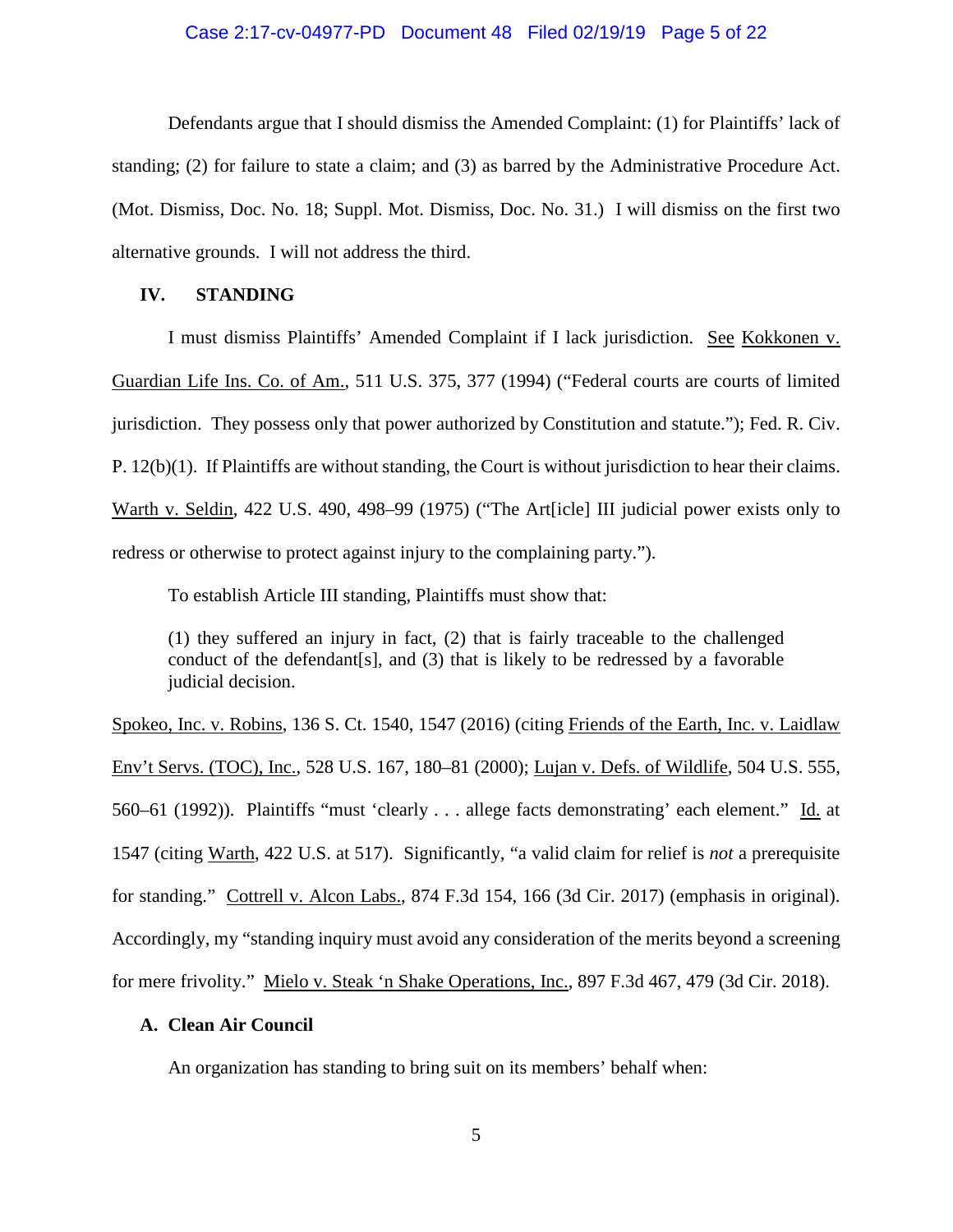#### Case 2:17-cv-04977-PD Document 48 Filed 02/19/19 Page 5 of 22

Defendants argue that I should dismiss the Amended Complaint: (1) for Plaintiffs' lack of standing; (2) for failure to state a claim; and (3) as barred by the Administrative Procedure Act. (Mot. Dismiss, Doc. No. 18; Suppl. Mot. Dismiss, Doc. No. 31.) I will dismiss on the first two alternative grounds. I will not address the third.

# **IV. STANDING**

I must dismiss Plaintiffs' Amended Complaint if I lack jurisdiction. See Kokkonen v. Guardian Life Ins. Co. of Am., 511 U.S. 375, 377 (1994) ("Federal courts are courts of limited jurisdiction. They possess only that power authorized by Constitution and statute."); Fed. R. Civ. P. 12(b)(1). If Plaintiffs are without standing, the Court is without jurisdiction to hear their claims. Warth v. Seldin, 422 U.S. 490, 498–99 (1975) ("The Art[icle] III judicial power exists only to redress or otherwise to protect against injury to the complaining party.").

To establish Article III standing, Plaintiffs must show that:

(1) they suffered an injury in fact, (2) that is fairly traceable to the challenged conduct of the defendant[s], and (3) that is likely to be redressed by a favorable judicial decision.

Spokeo, Inc. v. Robins, 136 S. Ct. 1540, 1547 (2016) (citing Friends of the Earth, Inc. v. Laidlaw Env't Servs. (TOC), Inc., 528 U.S. 167, 180–81 (2000); Lujan v. Defs. of Wildlife, 504 U.S. 555, 560–61 (1992)). Plaintiffs "must 'clearly . . . allege facts demonstrating' each element." Id. at 1547 (citing Warth, 422 U.S. at 517). Significantly, "a valid claim for relief is *not* a prerequisite for standing." Cottrell v. Alcon Labs., 874 F.3d 154, 166 (3d Cir. 2017) (emphasis in original). Accordingly, my "standing inquiry must avoid any consideration of the merits beyond a screening for mere frivolity." Mielo v. Steak 'n Shake Operations, Inc., 897 F.3d 467, 479 (3d Cir. 2018).

#### **A. Clean Air Council**

An organization has standing to bring suit on its members' behalf when: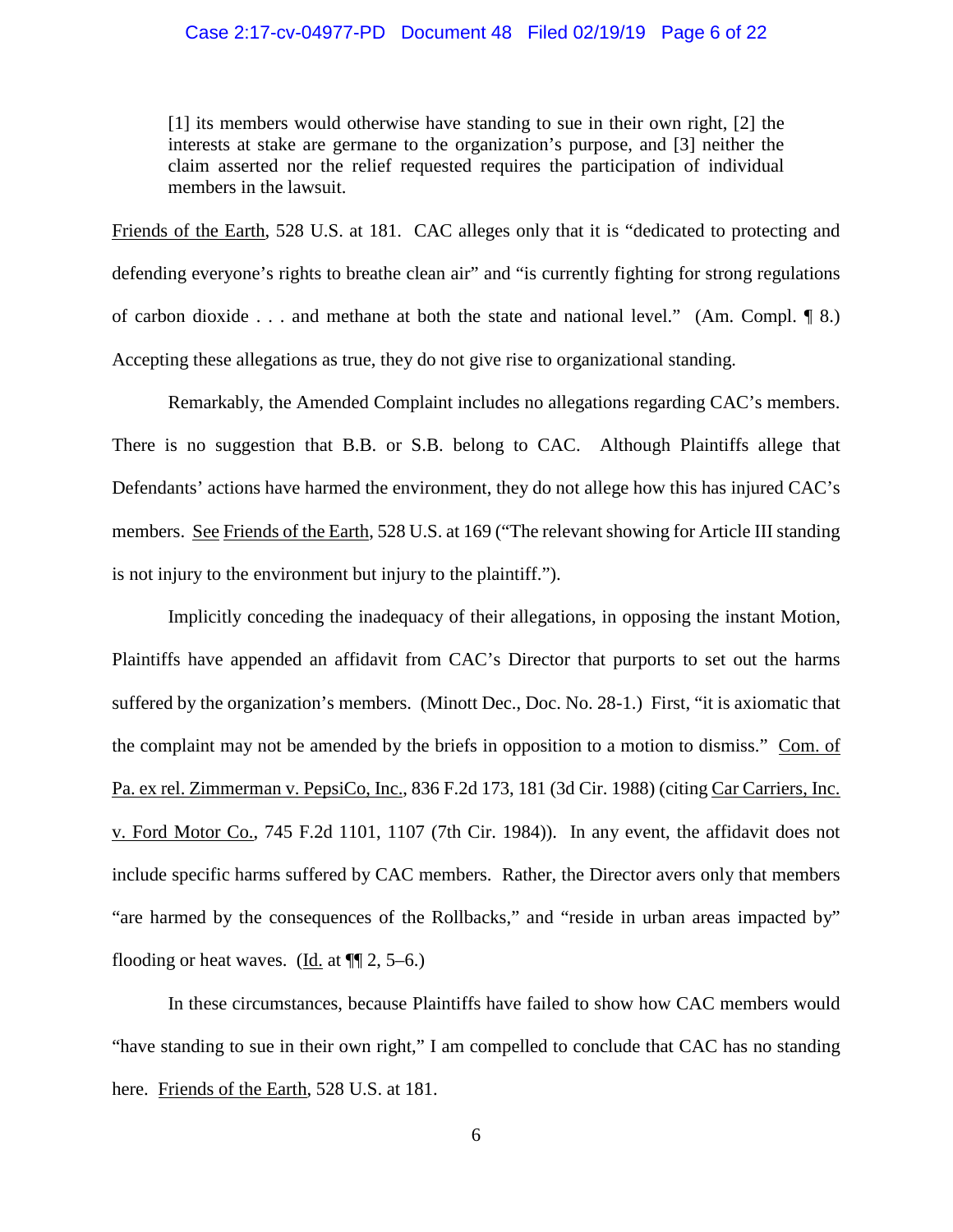#### Case 2:17-cv-04977-PD Document 48 Filed 02/19/19 Page 6 of 22

[1] its members would otherwise have standing to sue in their own right, [2] the interests at stake are germane to the organization's purpose, and [3] neither the claim asserted nor the relief requested requires the participation of individual members in the lawsuit.

Friends of the Earth, 528 U.S. at 181. CAC alleges only that it is "dedicated to protecting and defending everyone's rights to breathe clean air" and "is currently fighting for strong regulations of carbon dioxide . . . and methane at both the state and national level." (Am. Compl. ¶ 8.) Accepting these allegations as true, they do not give rise to organizational standing.

Remarkably, the Amended Complaint includes no allegations regarding CAC's members. There is no suggestion that B.B. or S.B. belong to CAC. Although Plaintiffs allege that Defendants' actions have harmed the environment, they do not allege how this has injured CAC's members. See Friends of the Earth, 528 U.S. at 169 ("The relevant showing for Article III standing is not injury to the environment but injury to the plaintiff.").

Implicitly conceding the inadequacy of their allegations, in opposing the instant Motion, Plaintiffs have appended an affidavit from CAC's Director that purports to set out the harms suffered by the organization's members. (Minott Dec., Doc. No. 28-1.) First, "it is axiomatic that the complaint may not be amended by the briefs in opposition to a motion to dismiss." Com. of Pa. ex rel. Zimmerman v. PepsiCo, Inc., 836 F.2d 173, 181 (3d Cir. 1988) (citing Car Carriers, Inc. v. Ford Motor Co., 745 F.2d 1101, 1107 (7th Cir. 1984)). In any event, the affidavit does not include specific harms suffered by CAC members. Rather, the Director avers only that members "are harmed by the consequences of the Rollbacks," and "reside in urban areas impacted by" flooding or heat waves. (Id. at  $\P$ [2, 5–6.)

In these circumstances, because Plaintiffs have failed to show how CAC members would "have standing to sue in their own right," I am compelled to conclude that CAC has no standing here. Friends of the Earth, 528 U.S. at 181.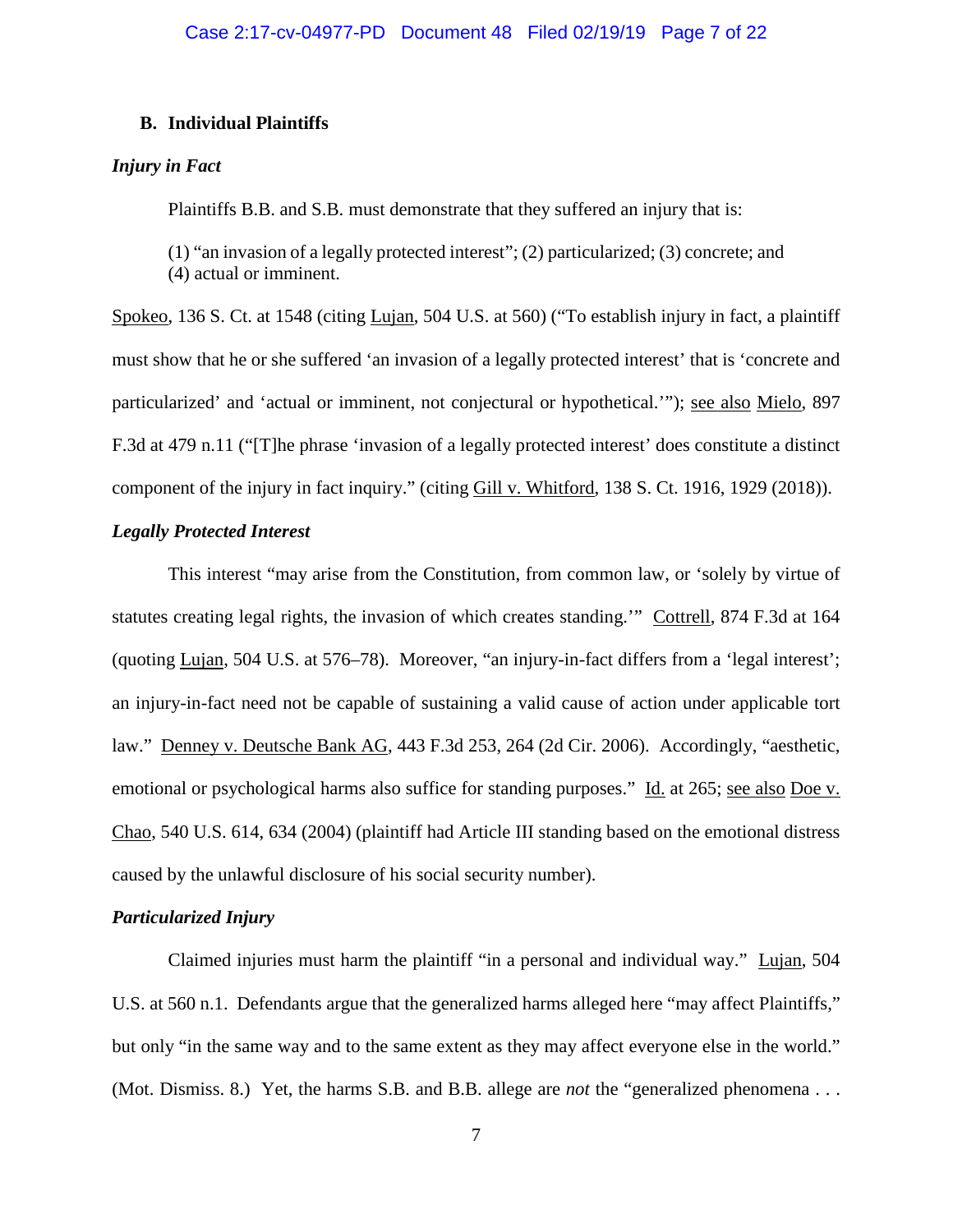# **B. Individual Plaintiffs**

## *Injury in Fact*

Plaintiffs B.B. and S.B. must demonstrate that they suffered an injury that is:

(1) "an invasion of a legally protected interest"; (2) particularized; (3) concrete; and (4) actual or imminent.

Spokeo, 136 S. Ct. at 1548 (citing Lujan, 504 U.S. at 560) ("To establish injury in fact, a plaintiff must show that he or she suffered 'an invasion of a legally protected interest' that is 'concrete and particularized' and 'actual or imminent, not conjectural or hypothetical.'"); see also Mielo, 897 F.3d at 479 n.11 ("[T]he phrase 'invasion of a legally protected interest' does constitute a distinct component of the injury in fact inquiry." (citing Gill v. Whitford, 138 S. Ct. 1916, 1929 (2018)).

# *Legally Protected Interest*

This interest "may arise from the Constitution, from common law, or 'solely by virtue of statutes creating legal rights, the invasion of which creates standing.'" Cottrell, 874 F.3d at 164 (quoting Lujan, 504 U.S. at 576–78). Moreover, "an injury-in-fact differs from a 'legal interest'; an injury-in-fact need not be capable of sustaining a valid cause of action under applicable tort law." Denney v. Deutsche Bank AG, 443 F.3d 253, 264 (2d Cir. 2006). Accordingly, "aesthetic, emotional or psychological harms also suffice for standing purposes." Id. at 265; see also Doe v. Chao, 540 U.S. 614, 634 (2004) (plaintiff had Article III standing based on the emotional distress caused by the unlawful disclosure of his social security number).

# *Particularized Injury*

Claimed injuries must harm the plaintiff "in a personal and individual way." Lujan, 504 U.S. at 560 n.1. Defendants argue that the generalized harms alleged here "may affect Plaintiffs," but only "in the same way and to the same extent as they may affect everyone else in the world." (Mot. Dismiss. 8.) Yet, the harms S.B. and B.B. allege are *not* the "generalized phenomena . . .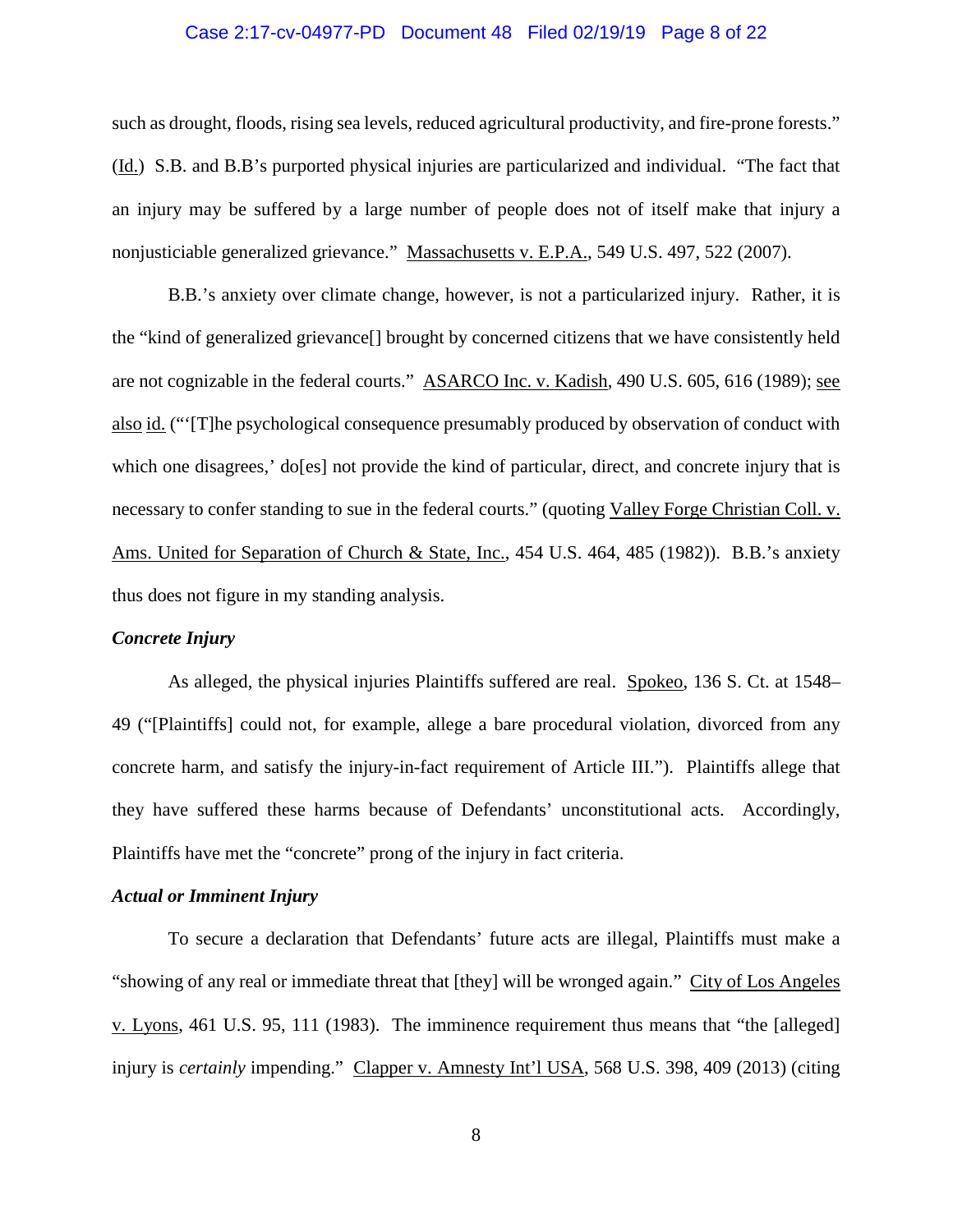#### Case 2:17-cv-04977-PD Document 48 Filed 02/19/19 Page 8 of 22

such as drought, floods, rising sea levels, reduced agricultural productivity, and fire-prone forests." (Id.) S.B. and B.B's purported physical injuries are particularized and individual. "The fact that an injury may be suffered by a large number of people does not of itself make that injury a nonjusticiable generalized grievance." Massachusetts v. E.P.A., 549 U.S. 497, 522 (2007).

B.B.'s anxiety over climate change, however, is not a particularized injury. Rather, it is the "kind of generalized grievance[] brought by concerned citizens that we have consistently held are not cognizable in the federal courts." ASARCO Inc. v. Kadish, 490 U.S. 605, 616 (1989); see also id. ("'[T]he psychological consequence presumably produced by observation of conduct with which one disagrees,' do[es] not provide the kind of particular, direct, and concrete injury that is necessary to confer standing to sue in the federal courts." (quoting Valley Forge Christian Coll. v. Ams. United for Separation of Church & State, Inc., 454 U.S. 464, 485 (1982)). B.B.'s anxiety thus does not figure in my standing analysis.

### *Concrete Injury*

As alleged, the physical injuries Plaintiffs suffered are real. Spokeo, 136 S. Ct. at 1548– 49 ("[Plaintiffs] could not, for example, allege a bare procedural violation, divorced from any concrete harm, and satisfy the injury-in-fact requirement of Article III."). Plaintiffs allege that they have suffered these harms because of Defendants' unconstitutional acts. Accordingly, Plaintiffs have met the "concrete" prong of the injury in fact criteria.

#### *Actual or Imminent Injury*

To secure a declaration that Defendants' future acts are illegal, Plaintiffs must make a "showing of any real or immediate threat that [they] will be wronged again." City of Los Angeles v. Lyons, 461 U.S. 95, 111 (1983). The imminence requirement thus means that "the [alleged] injury is *certainly* impending." Clapper v. Amnesty Int'l USA, 568 U.S. 398, 409 (2013) (citing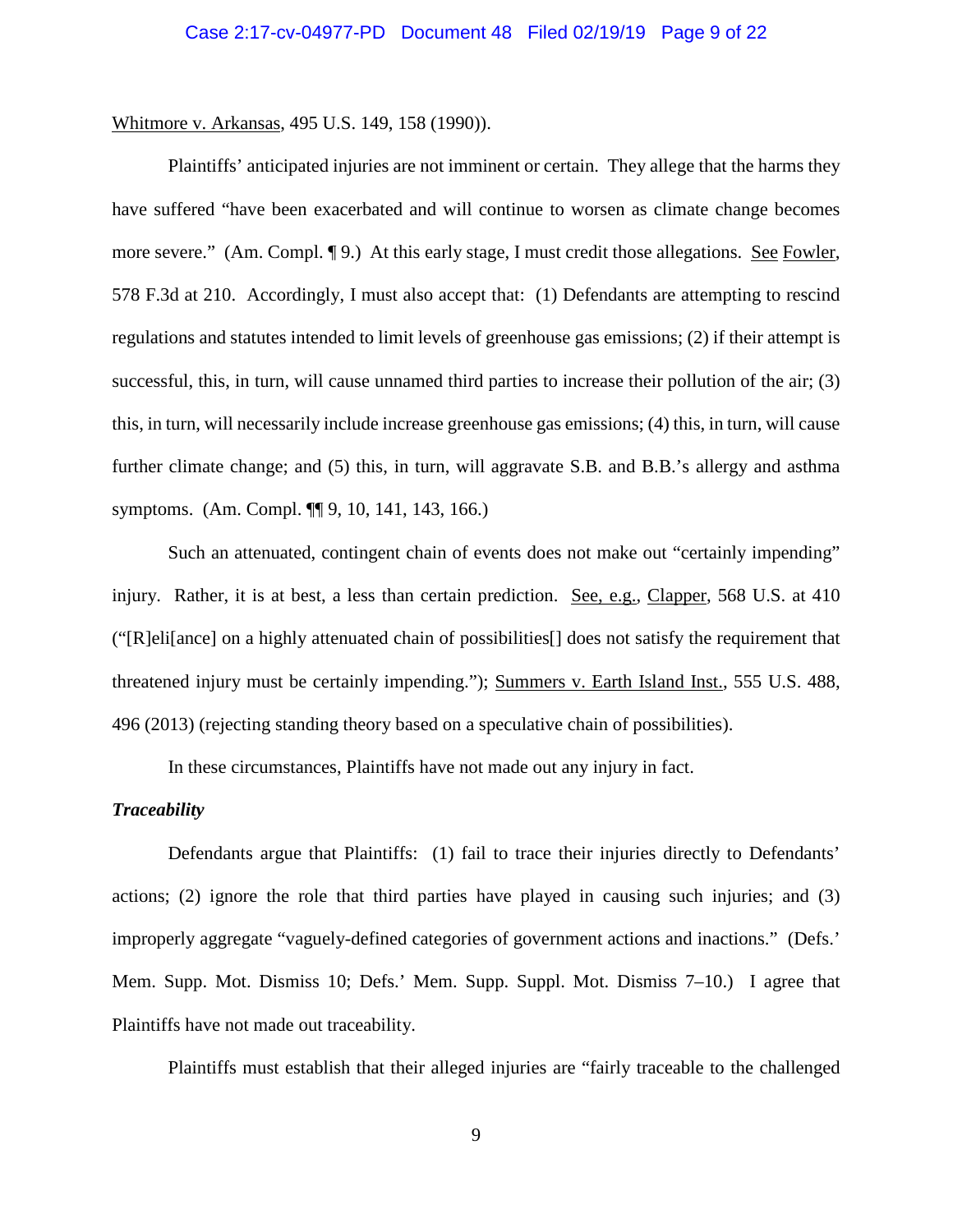Whitmore v. Arkansas, 495 U.S. 149, 158 (1990)).

Plaintiffs' anticipated injuries are not imminent or certain. They allege that the harms they have suffered "have been exacerbated and will continue to worsen as climate change becomes more severe." (Am. Compl. ¶ 9.) At this early stage, I must credit those allegations. See Fowler, 578 F.3d at 210. Accordingly, I must also accept that: (1) Defendants are attempting to rescind regulations and statutes intended to limit levels of greenhouse gas emissions; (2) if their attempt is successful, this, in turn, will cause unnamed third parties to increase their pollution of the air; (3) this, in turn, will necessarily include increase greenhouse gas emissions; (4) this, in turn, will cause further climate change; and (5) this, in turn, will aggravate S.B. and B.B.'s allergy and asthma symptoms. (Am. Compl. ¶¶ 9, 10, 141, 143, 166.)

Such an attenuated, contingent chain of events does not make out "certainly impending" injury. Rather, it is at best, a less than certain prediction. See, e.g., Clapper, 568 U.S. at 410 ("[R]eli[ance] on a highly attenuated chain of possibilities[] does not satisfy the requirement that threatened injury must be certainly impending."); Summers v. Earth Island Inst., 555 U.S. 488, 496 (2013) (rejecting standing theory based on a speculative chain of possibilities).

In these circumstances, Plaintiffs have not made out any injury in fact.

### *Traceability*

Defendants argue that Plaintiffs: (1) fail to trace their injuries directly to Defendants' actions; (2) ignore the role that third parties have played in causing such injuries; and (3) improperly aggregate "vaguely-defined categories of government actions and inactions." (Defs.' Mem. Supp. Mot. Dismiss 10; Defs.' Mem. Supp. Suppl. Mot. Dismiss 7–10.) I agree that Plaintiffs have not made out traceability.

Plaintiffs must establish that their alleged injuries are "fairly traceable to the challenged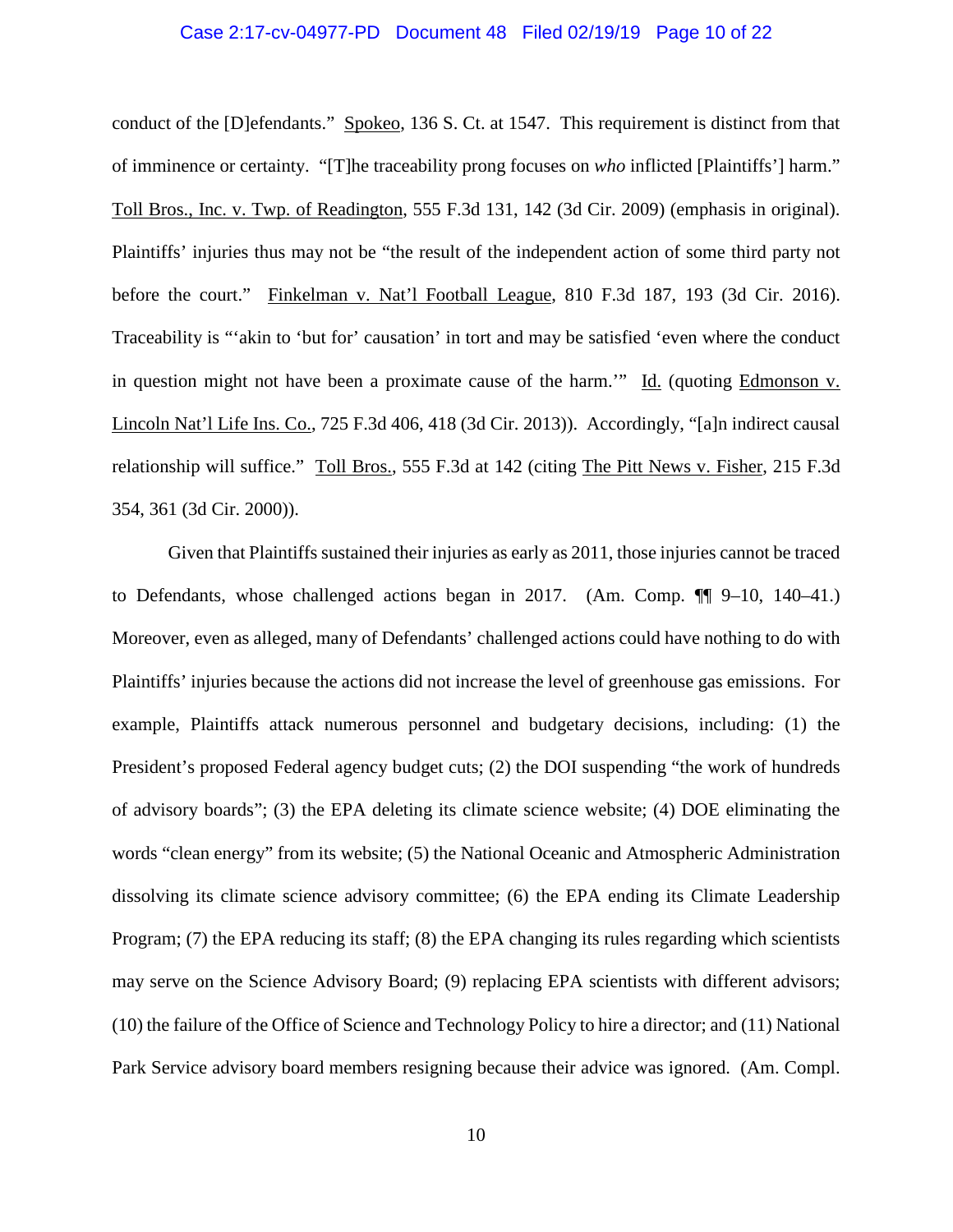#### Case 2:17-cv-04977-PD Document 48 Filed 02/19/19 Page 10 of 22

conduct of the [D]efendants." Spokeo, 136 S. Ct. at 1547. This requirement is distinct from that of imminence or certainty. "[T]he traceability prong focuses on *who* inflicted [Plaintiffs'] harm." Toll Bros., Inc. v. Twp. of Readington, 555 F.3d 131, 142 (3d Cir. 2009) (emphasis in original). Plaintiffs' injuries thus may not be "the result of the independent action of some third party not before the court." Finkelman v. Nat'l Football League, 810 F.3d 187, 193 (3d Cir. 2016). Traceability is "'akin to 'but for' causation' in tort and may be satisfied 'even where the conduct in question might not have been a proximate cause of the harm.'" Id. (quoting Edmonson v. Lincoln Nat'l Life Ins. Co., 725 F.3d 406, 418 (3d Cir. 2013)). Accordingly, "[a]n indirect causal relationship will suffice." Toll Bros., 555 F.3d at 142 (citing The Pitt News v. Fisher, 215 F.3d 354, 361 (3d Cir. 2000)).

Given that Plaintiffs sustained their injuries as early as 2011, those injuries cannot be traced to Defendants, whose challenged actions began in 2017. (Am. Comp. ¶¶ 9–10, 140–41.) Moreover, even as alleged, many of Defendants' challenged actions could have nothing to do with Plaintiffs' injuries because the actions did not increase the level of greenhouse gas emissions. For example, Plaintiffs attack numerous personnel and budgetary decisions, including: (1) the President's proposed Federal agency budget cuts; (2) the DOI suspending "the work of hundreds of advisory boards"; (3) the EPA deleting its climate science website; (4) DOE eliminating the words "clean energy" from its website; (5) the National Oceanic and Atmospheric Administration dissolving its climate science advisory committee; (6) the EPA ending its Climate Leadership Program; (7) the EPA reducing its staff; (8) the EPA changing its rules regarding which scientists may serve on the Science Advisory Board; (9) replacing EPA scientists with different advisors; (10) the failure of the Office of Science and Technology Policy to hire a director; and (11) National Park Service advisory board members resigning because their advice was ignored. (Am. Compl.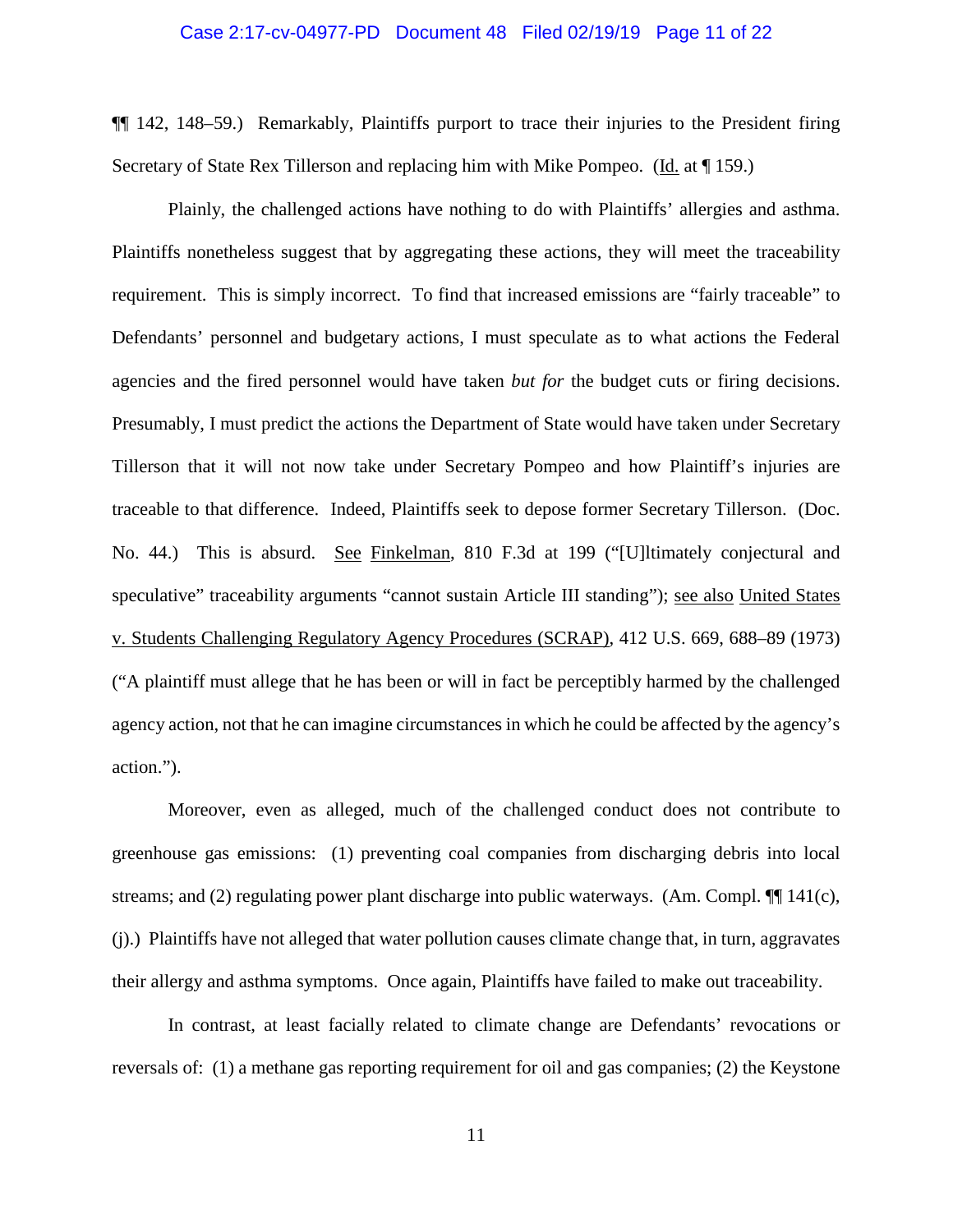#### Case 2:17-cv-04977-PD Document 48 Filed 02/19/19 Page 11 of 22

¶¶ 142, 148–59.) Remarkably, Plaintiffs purport to trace their injuries to the President firing Secretary of State Rex Tillerson and replacing him with Mike Pompeo. (Id. at ¶ 159.)

Plainly, the challenged actions have nothing to do with Plaintiffs' allergies and asthma. Plaintiffs nonetheless suggest that by aggregating these actions, they will meet the traceability requirement. This is simply incorrect. To find that increased emissions are "fairly traceable" to Defendants' personnel and budgetary actions, I must speculate as to what actions the Federal agencies and the fired personnel would have taken *but for* the budget cuts or firing decisions. Presumably, I must predict the actions the Department of State would have taken under Secretary Tillerson that it will not now take under Secretary Pompeo and how Plaintiff's injuries are traceable to that difference. Indeed, Plaintiffs seek to depose former Secretary Tillerson. (Doc. No. 44.) This is absurd. See Finkelman, 810 F.3d at 199 ("[U]ltimately conjectural and speculative" traceability arguments "cannot sustain Article III standing"); see also United States v. Students Challenging Regulatory Agency Procedures (SCRAP), 412 U.S. 669, 688–89 (1973) ("A plaintiff must allege that he has been or will in fact be perceptibly harmed by the challenged agency action, not that he can imagine circumstances in which he could be affected by the agency's action.").

Moreover, even as alleged, much of the challenged conduct does not contribute to greenhouse gas emissions: (1) preventing coal companies from discharging debris into local streams; and (2) regulating power plant discharge into public waterways. (Am. Compl.  $\P$ [ 141(c), (j).) Plaintiffs have not alleged that water pollution causes climate change that, in turn, aggravates their allergy and asthma symptoms. Once again, Plaintiffs have failed to make out traceability.

In contrast, at least facially related to climate change are Defendants' revocations or reversals of: (1) a methane gas reporting requirement for oil and gas companies; (2) the Keystone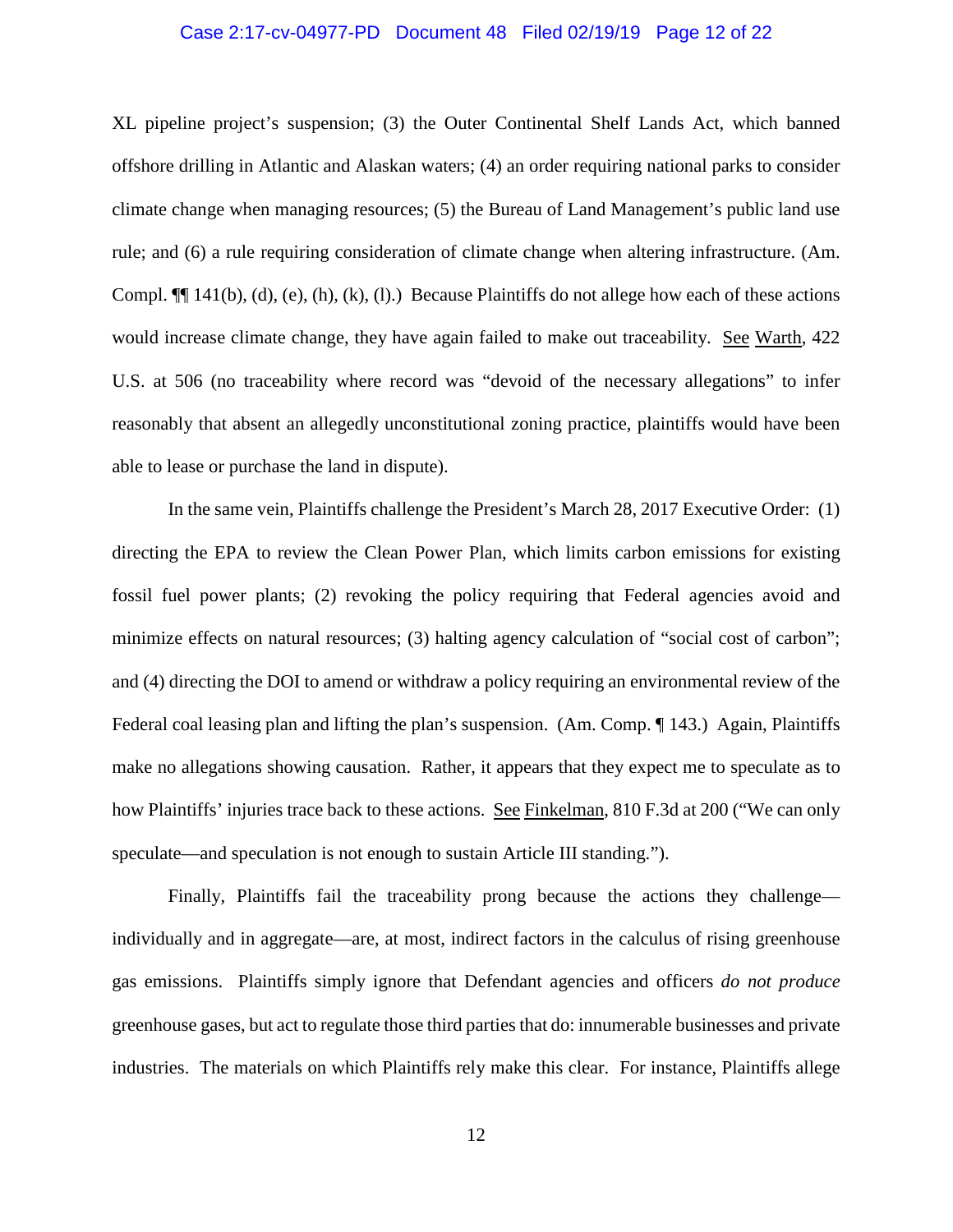#### Case 2:17-cv-04977-PD Document 48 Filed 02/19/19 Page 12 of 22

XL pipeline project's suspension; (3) the Outer Continental Shelf Lands Act, which banned offshore drilling in Atlantic and Alaskan waters; (4) an order requiring national parks to consider climate change when managing resources; (5) the Bureau of Land Management's public land use rule; and (6) a rule requiring consideration of climate change when altering infrastructure. (Am. Compl.  $\P$ [[ 141(b), (d), (e), (h), (k), (l).) Because Plaintiffs do not allege how each of these actions would increase climate change, they have again failed to make out traceability. See Warth, 422 U.S. at 506 (no traceability where record was "devoid of the necessary allegations" to infer reasonably that absent an allegedly unconstitutional zoning practice, plaintiffs would have been able to lease or purchase the land in dispute).

In the same vein, Plaintiffs challenge the President's March 28, 2017 Executive Order: (1) directing the EPA to review the Clean Power Plan, which limits carbon emissions for existing fossil fuel power plants; (2) revoking the policy requiring that Federal agencies avoid and minimize effects on natural resources; (3) halting agency calculation of "social cost of carbon"; and (4) directing the DOI to amend or withdraw a policy requiring an environmental review of the Federal coal leasing plan and lifting the plan's suspension. (Am. Comp. 143.) Again, Plaintiffs make no allegations showing causation. Rather, it appears that they expect me to speculate as to how Plaintiffs' injuries trace back to these actions. See Finkelman, 810 F.3d at 200 ("We can only speculate—and speculation is not enough to sustain Article III standing.").

Finally, Plaintiffs fail the traceability prong because the actions they challenge individually and in aggregate—are, at most, indirect factors in the calculus of rising greenhouse gas emissions. Plaintiffs simply ignore that Defendant agencies and officers *do not produce*  greenhouse gases, but act to regulate those third partiesthat do: innumerable businesses and private industries. The materials on which Plaintiffs rely make this clear. For instance, Plaintiffs allege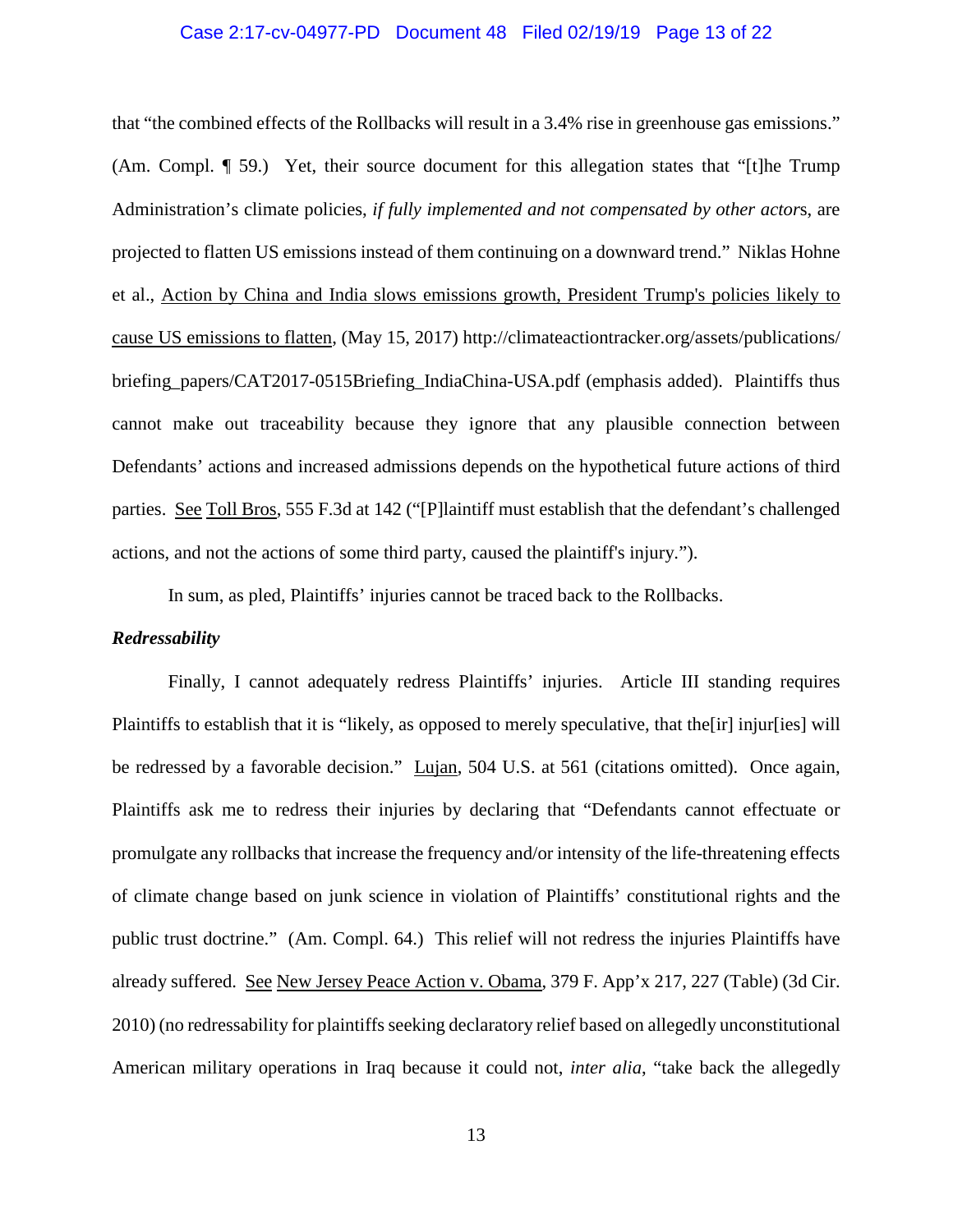#### Case 2:17-cv-04977-PD Document 48 Filed 02/19/19 Page 13 of 22

that "the combined effects of the Rollbacks will result in a 3.4% rise in greenhouse gas emissions." (Am. Compl. ¶ 59.) Yet, their source document for this allegation states that "[t]he Trump Administration's climate policies, *if fully implemented and not compensated by other actor*s, are projected to flatten US emissions instead of them continuing on a downward trend." Niklas Hohne et al., Action by China and India slows emissions growth, President Trump's policies likely to cause US emissions to flatten, (May 15, 2017) http://climateactiontracker.org/assets/publications/ briefing\_papers/CAT2017-0515Briefing\_IndiaChina-USA.pdf (emphasis added). Plaintiffs thus cannot make out traceability because they ignore that any plausible connection between Defendants' actions and increased admissions depends on the hypothetical future actions of third parties. See Toll Bros, 555 F.3d at 142 ("[P]laintiff must establish that the defendant's challenged actions, and not the actions of some third party, caused the plaintiff's injury.").

In sum, as pled, Plaintiffs' injuries cannot be traced back to the Rollbacks.

#### *Redressability*

Finally, I cannot adequately redress Plaintiffs' injuries. Article III standing requires Plaintiffs to establish that it is "likely, as opposed to merely speculative, that the[ir] injur[ies] will be redressed by a favorable decision." Lujan, 504 U.S. at 561 (citations omitted). Once again, Plaintiffs ask me to redress their injuries by declaring that "Defendants cannot effectuate or promulgate any rollbacks that increase the frequency and/or intensity of the life-threatening effects of climate change based on junk science in violation of Plaintiffs' constitutional rights and the public trust doctrine." (Am. Compl. 64.) This relief will not redress the injuries Plaintiffs have already suffered. See New Jersey Peace Action v. Obama, 379 F. App'x 217, 227 (Table) (3d Cir. 2010) (no redressability for plaintiffs seeking declaratory relief based on allegedly unconstitutional American military operations in Iraq because it could not, *inter alia*, "take back the allegedly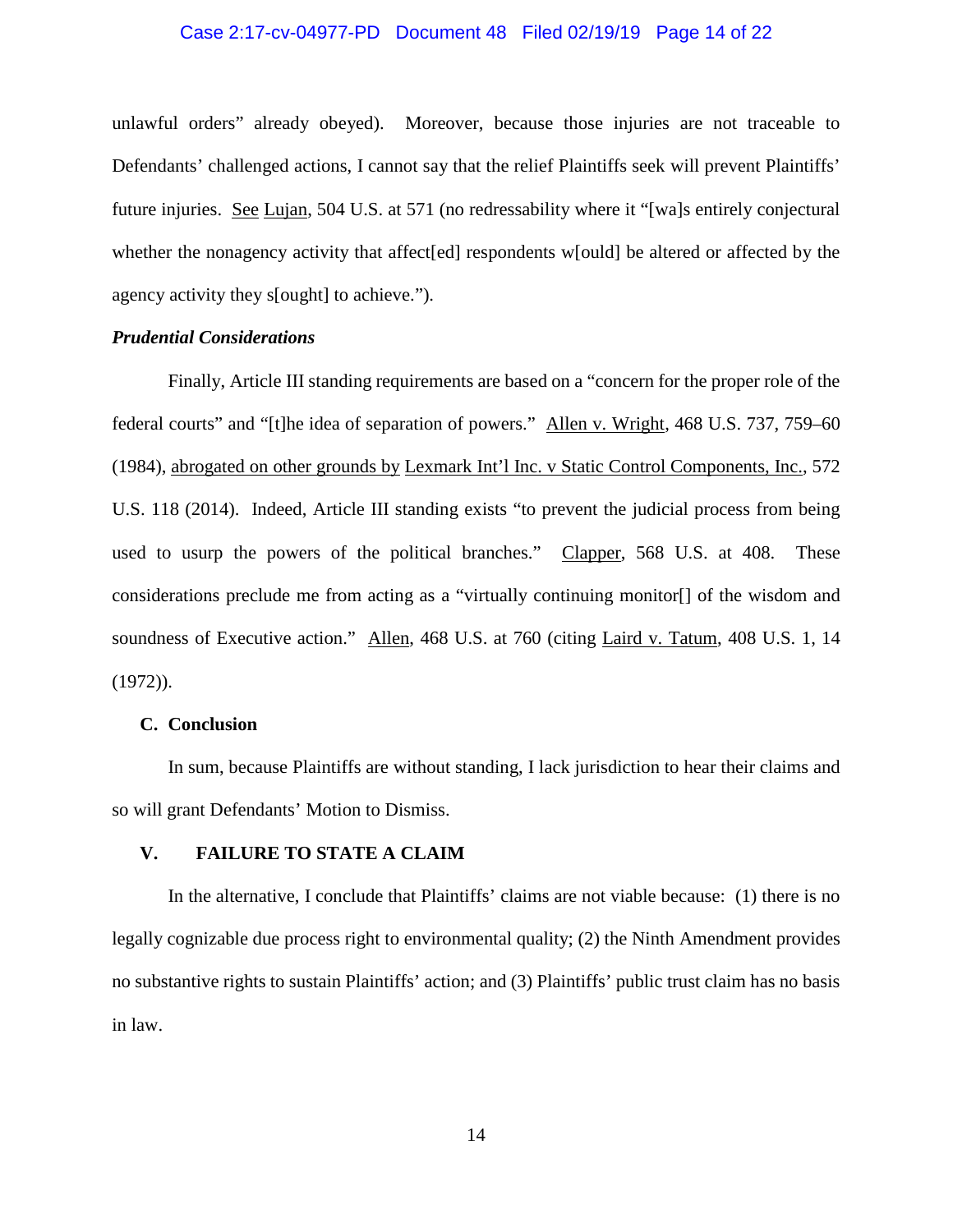#### Case 2:17-cv-04977-PD Document 48 Filed 02/19/19 Page 14 of 22

unlawful orders" already obeyed). Moreover, because those injuries are not traceable to Defendants' challenged actions, I cannot say that the relief Plaintiffs seek will prevent Plaintiffs' future injuries. See Lujan, 504 U.S. at 571 (no redressability where it "[wa]s entirely conjectural whether the nonagency activity that affect [ed] respondents w[ould] be altered or affected by the agency activity they s[ought] to achieve.").

# *Prudential Considerations*

Finally, Article III standing requirements are based on a "concern for the proper role of the federal courts" and "[t]he idea of separation of powers." Allen v. Wright, 468 U.S. 737, 759–60 (1984), abrogated on other grounds by Lexmark Int'l Inc. v Static Control Components, Inc., 572 U.S. 118 (2014). Indeed, Article III standing exists "to prevent the judicial process from being used to usurp the powers of the political branches." Clapper, 568 U.S. at 408. These considerations preclude me from acting as a "virtually continuing monitor[] of the wisdom and soundness of Executive action." Allen, 468 U.S. at 760 (citing Laird v. Tatum, 408 U.S. 1, 14  $(1972)$ ).

#### **C. Conclusion**

In sum, because Plaintiffs are without standing, I lack jurisdiction to hear their claims and so will grant Defendants' Motion to Dismiss.

#### **V. FAILURE TO STATE A CLAIM**

In the alternative, I conclude that Plaintiffs' claims are not viable because: (1) there is no legally cognizable due process right to environmental quality; (2) the Ninth Amendment provides no substantive rights to sustain Plaintiffs' action; and (3) Plaintiffs' public trust claim has no basis in law.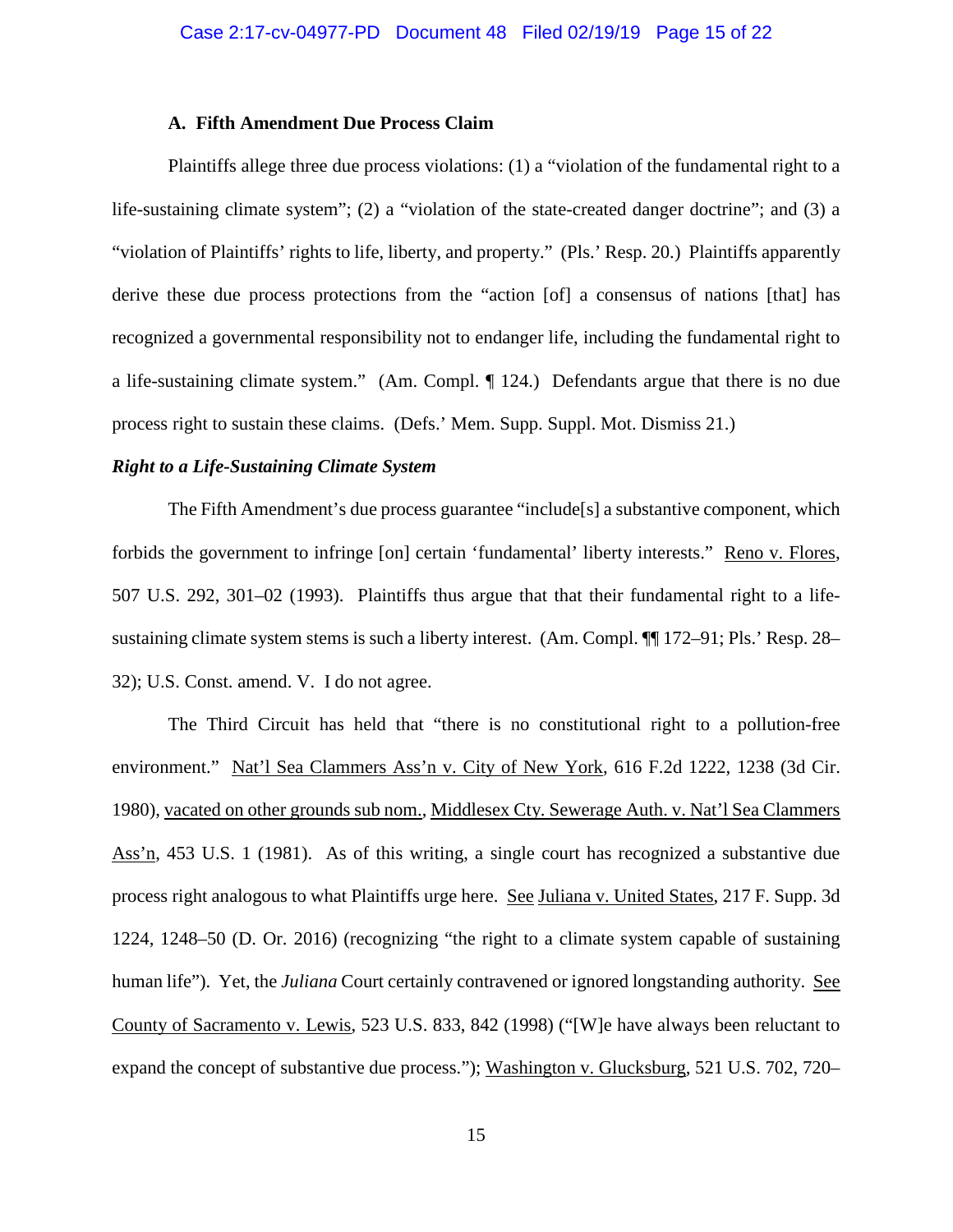#### **A. Fifth Amendment Due Process Claim**

Plaintiffs allege three due process violations: (1) a "violation of the fundamental right to a life-sustaining climate system"; (2) a "violation of the state-created danger doctrine"; and (3) a "violation of Plaintiffs' rights to life, liberty, and property." (Pls.' Resp. 20.) Plaintiffs apparently derive these due process protections from the "action [of] a consensus of nations [that] has recognized a governmental responsibility not to endanger life, including the fundamental right to a life-sustaining climate system." (Am. Compl. ¶ 124.) Defendants argue that there is no due process right to sustain these claims. (Defs.' Mem. Supp. Suppl. Mot. Dismiss 21.)

#### *Right to a Life-Sustaining Climate System*

The Fifth Amendment's due process guarantee "include[s] a substantive component, which forbids the government to infringe [on] certain 'fundamental' liberty interests." Reno v. Flores, 507 U.S. 292, 301–02 (1993). Plaintiffs thus argue that that their fundamental right to a lifesustaining climate system stems is such a liberty interest. (Am. Compl. ¶¶ 172–91; Pls.' Resp. 28– 32); U.S. Const. amend. V. I do not agree.

The Third Circuit has held that "there is no constitutional right to a pollution-free environment." Nat'l Sea Clammers Ass'n v. City of New York, 616 F.2d 1222, 1238 (3d Cir. 1980), vacated on other grounds sub nom., Middlesex Cty. Sewerage Auth. v. Nat'l Sea Clammers Ass'n, 453 U.S. 1 (1981). As of this writing, a single court has recognized a substantive due process right analogous to what Plaintiffs urge here. See Juliana v. United States, 217 F. Supp. 3d 1224, 1248–50 (D. Or. 2016) (recognizing "the right to a climate system capable of sustaining human life"). Yet, the *Juliana* Court certainly contravened or ignored longstanding authority. See County of Sacramento v. Lewis, 523 U.S. 833, 842 (1998) ("[W]e have always been reluctant to expand the concept of substantive due process."); Washington v. Glucksburg, 521 U.S. 702, 720–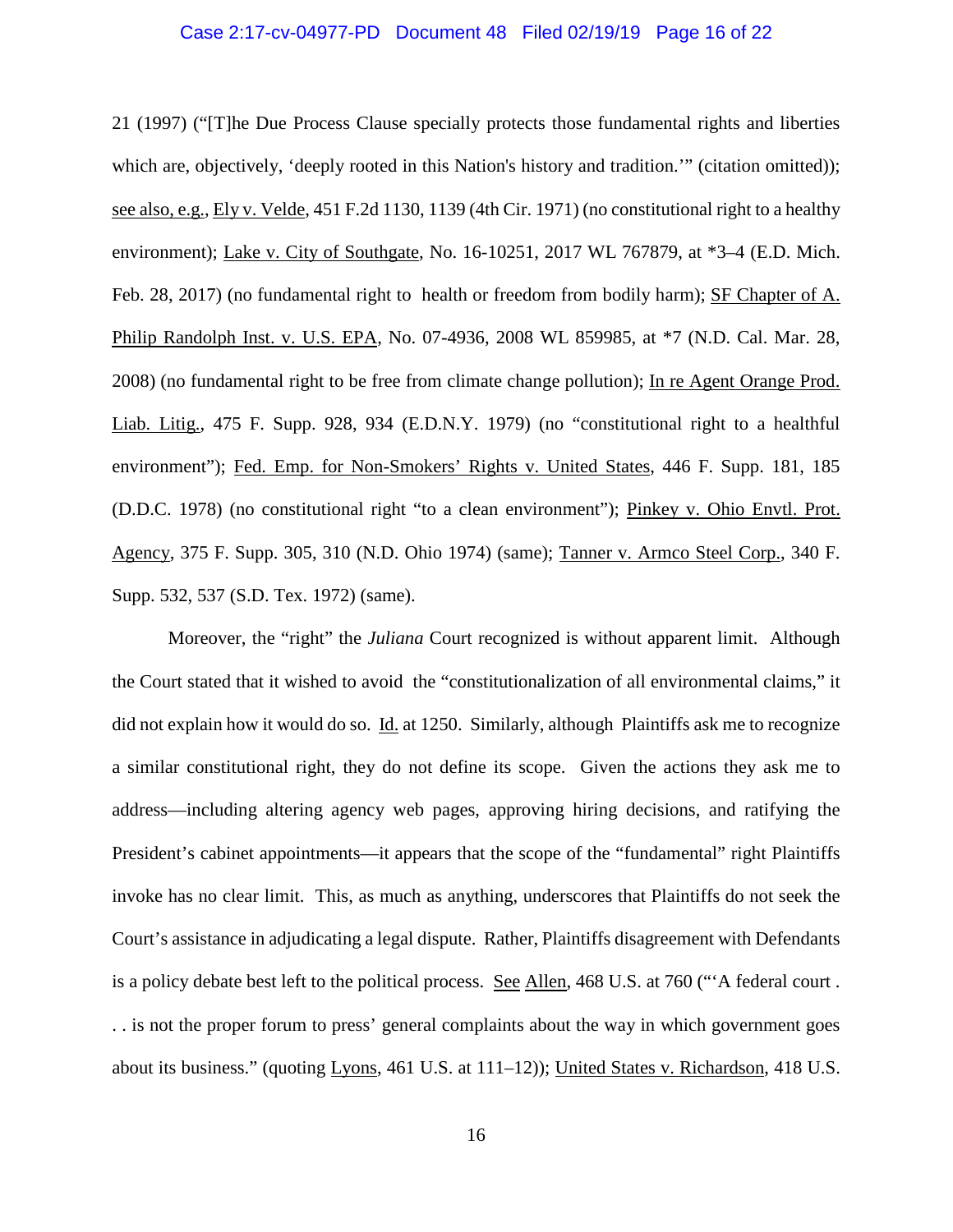#### Case 2:17-cv-04977-PD Document 48 Filed 02/19/19 Page 16 of 22

21 (1997) ("[T]he Due Process Clause specially protects those fundamental rights and liberties which are, objectively, 'deeply rooted in this Nation's history and tradition.'" (citation omitted)); see also, e.g., Ely v. Velde, 451 F.2d 1130, 1139 (4th Cir. 1971) (no constitutional right to a healthy environment); Lake v. City of Southgate, No. 16-10251, 2017 WL 767879, at \*3–4 (E.D. Mich. Feb. 28, 2017) (no fundamental right to health or freedom from bodily harm); SF Chapter of A. Philip Randolph Inst. v. U.S. EPA, No. 07-4936, 2008 WL 859985, at \*7 (N.D. Cal. Mar. 28, 2008) (no fundamental right to be free from climate change pollution); In re Agent Orange Prod. Liab. Litig., 475 F. Supp. 928, 934 (E.D.N.Y. 1979) (no "constitutional right to a healthful environment"); Fed. Emp. for Non-Smokers' Rights v. United States, 446 F. Supp. 181, 185 (D.D.C. 1978) (no constitutional right "to a clean environment"); Pinkey v. Ohio Envtl. Prot. Agency, 375 F. Supp. 305, 310 (N.D. Ohio 1974) (same); Tanner v. Armco Steel Corp., 340 F. Supp. 532, 537 (S.D. Tex. 1972) (same).

Moreover, the "right" the *Juliana* Court recognized is without apparent limit. Although the Court stated that it wished to avoid the "constitutionalization of all environmental claims," it did not explain how it would do so. Id. at 1250. Similarly, although Plaintiffs ask me to recognize a similar constitutional right, they do not define its scope. Given the actions they ask me to address—including altering agency web pages, approving hiring decisions, and ratifying the President's cabinet appointments—it appears that the scope of the "fundamental" right Plaintiffs invoke has no clear limit. This, as much as anything, underscores that Plaintiffs do not seek the Court's assistance in adjudicating a legal dispute. Rather, Plaintiffs disagreement with Defendants is a policy debate best left to the political process. See Allen, 468 U.S. at 760 ("'A federal court . . . is not the proper forum to press' general complaints about the way in which government goes about its business." (quoting Lyons, 461 U.S. at 111–12)); United States v. Richardson, 418 U.S.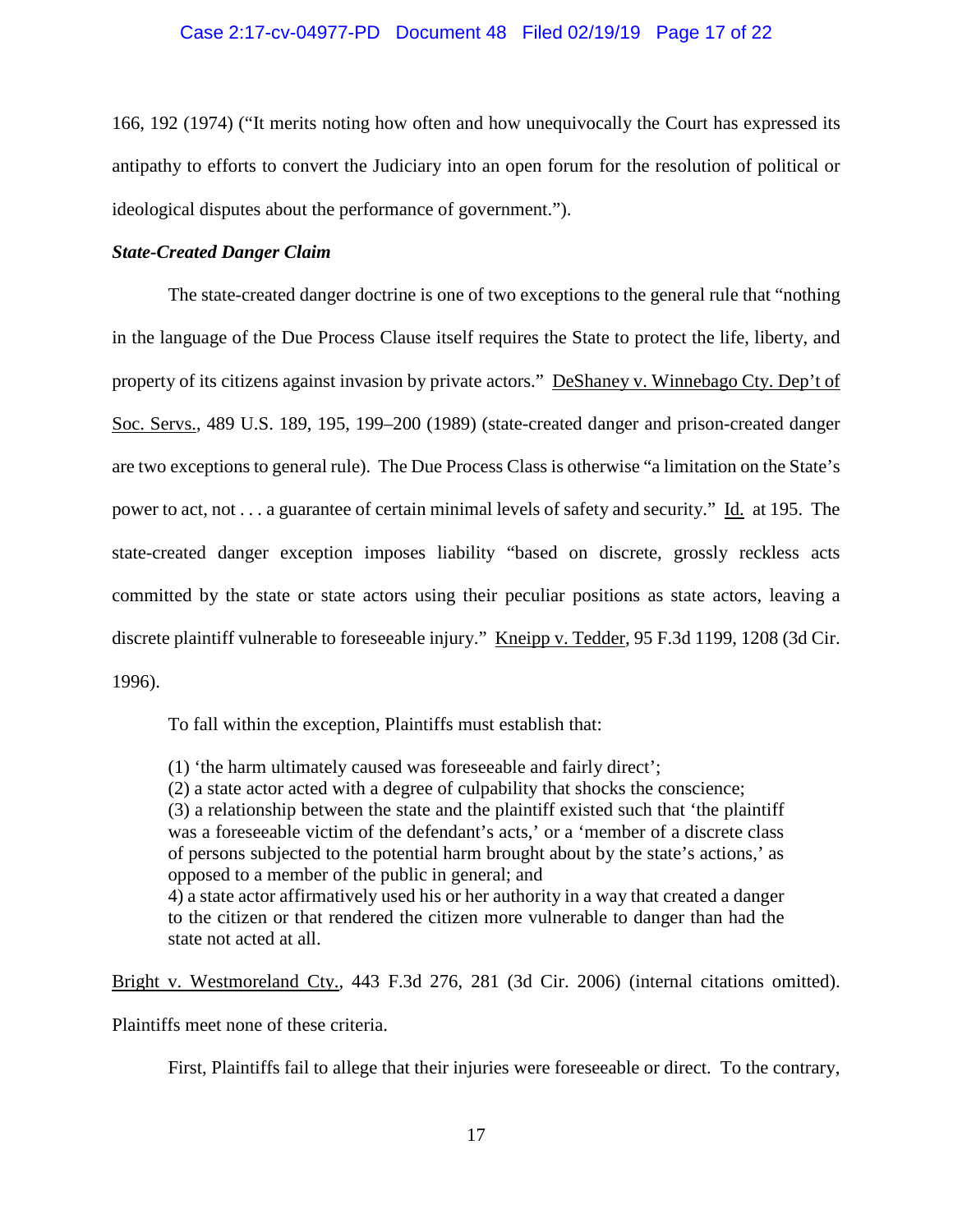### Case 2:17-cv-04977-PD Document 48 Filed 02/19/19 Page 17 of 22

166, 192 (1974) ("It merits noting how often and how unequivocally the Court has expressed its antipathy to efforts to convert the Judiciary into an open forum for the resolution of political or ideological disputes about the performance of government.").

### *State-Created Danger Claim*

The state-created danger doctrine is one of two exceptions to the general rule that "nothing in the language of the Due Process Clause itself requires the State to protect the life, liberty, and property of its citizens against invasion by private actors." DeShaney v. Winnebago Cty. Dep't of Soc. Servs., 489 U.S. 189, 195, 199–200 (1989) (state-created danger and prison-created danger are two exceptions to general rule). The Due Process Class is otherwise "a limitation on the State's power to act, not . . . a guarantee of certain minimal levels of safety and security." Id. at 195. The state-created danger exception imposes liability "based on discrete, grossly reckless acts committed by the state or state actors using their peculiar positions as state actors, leaving a discrete plaintiff vulnerable to foreseeable injury." Kneipp v. Tedder, 95 F.3d 1199, 1208 (3d Cir. 1996).

To fall within the exception, Plaintiffs must establish that:

(1) 'the harm ultimately caused was foreseeable and fairly direct';

(2) a state actor acted with a degree of culpability that shocks the conscience;

(3) a relationship between the state and the plaintiff existed such that 'the plaintiff was a foreseeable victim of the defendant's acts,' or a 'member of a discrete class of persons subjected to the potential harm brought about by the state's actions,' as opposed to a member of the public in general; and

4) a state actor affirmatively used his or her authority in a way that created a danger to the citizen or that rendered the citizen more vulnerable to danger than had the state not acted at all.

Bright v. Westmoreland Cty., 443 F.3d 276, 281 (3d Cir. 2006) (internal citations omitted).

Plaintiffs meet none of these criteria.

First, Plaintiffs fail to allege that their injuries were foreseeable or direct. To the contrary,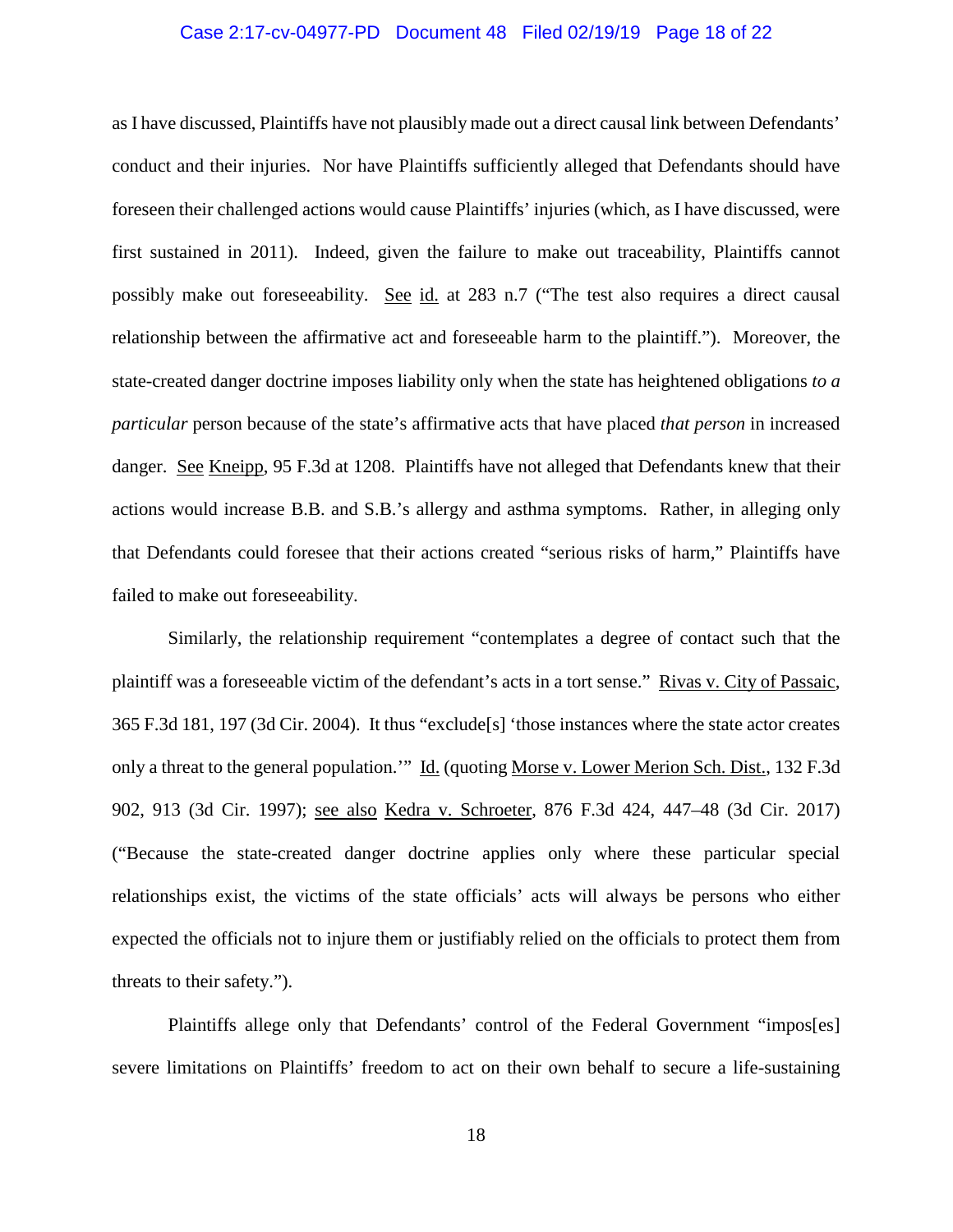#### Case 2:17-cv-04977-PD Document 48 Filed 02/19/19 Page 18 of 22

as I have discussed, Plaintiffs have not plausibly made out a direct causal link between Defendants' conduct and their injuries. Nor have Plaintiffs sufficiently alleged that Defendants should have foreseen their challenged actions would cause Plaintiffs' injuries (which, as I have discussed, were first sustained in 2011). Indeed, given the failure to make out traceability, Plaintiffs cannot possibly make out foreseeability. See id. at 283 n.7 ("The test also requires a direct causal relationship between the affirmative act and foreseeable harm to the plaintiff."). Moreover, the state-created danger doctrine imposes liability only when the state has heightened obligations *to a particular* person because of the state's affirmative acts that have placed *that person* in increased danger. See Kneipp, 95 F.3d at 1208. Plaintiffs have not alleged that Defendants knew that their actions would increase B.B. and S.B.'s allergy and asthma symptoms. Rather, in alleging only that Defendants could foresee that their actions created "serious risks of harm," Plaintiffs have failed to make out foreseeability.

Similarly, the relationship requirement "contemplates a degree of contact such that the plaintiff was a foreseeable victim of the defendant's acts in a tort sense." Rivas v. City of Passaic, 365 F.3d 181, 197 (3d Cir. 2004). It thus "exclude[s] 'those instances where the state actor creates only a threat to the general population.'" Id. (quoting Morse v. Lower Merion Sch. Dist., 132 F.3d 902, 913 (3d Cir. 1997); see also Kedra v. Schroeter, 876 F.3d 424, 447–48 (3d Cir. 2017) ("Because the state-created danger doctrine applies only where these particular special relationships exist, the victims of the state officials' acts will always be persons who either expected the officials not to injure them or justifiably relied on the officials to protect them from threats to their safety.").

Plaintiffs allege only that Defendants' control of the Federal Government "impos[es] severe limitations on Plaintiffs' freedom to act on their own behalf to secure a life-sustaining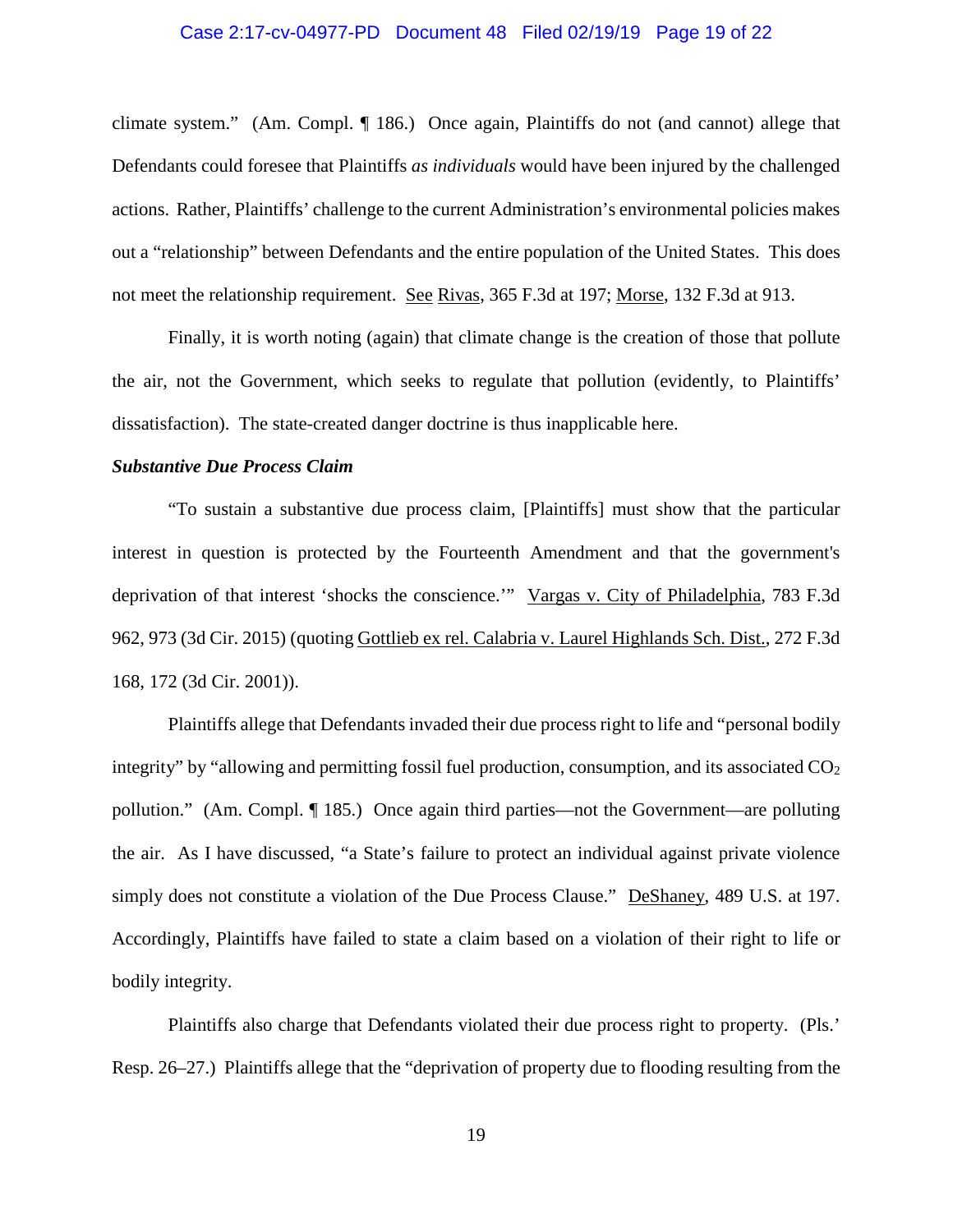#### Case 2:17-cv-04977-PD Document 48 Filed 02/19/19 Page 19 of 22

climate system." (Am. Compl. ¶ 186.) Once again, Plaintiffs do not (and cannot) allege that Defendants could foresee that Plaintiffs *as individuals* would have been injured by the challenged actions. Rather, Plaintiffs' challenge to the current Administration's environmental policies makes out a "relationship" between Defendants and the entire population of the United States. This does not meet the relationship requirement. See Rivas, 365 F.3d at 197; Morse, 132 F.3d at 913.

Finally, it is worth noting (again) that climate change is the creation of those that pollute the air, not the Government, which seeks to regulate that pollution (evidently, to Plaintiffs' dissatisfaction). The state-created danger doctrine is thus inapplicable here.

#### *Substantive Due Process Claim*

"To sustain a substantive due process claim, [Plaintiffs] must show that the particular interest in question is protected by the Fourteenth Amendment and that the government's deprivation of that interest 'shocks the conscience.'" Vargas v. City of Philadelphia, 783 F.3d 962, 973 (3d Cir. 2015) (quoting Gottlieb ex rel. Calabria v. Laurel Highlands Sch. Dist., 272 F.3d 168, 172 (3d Cir. 2001)).

Plaintiffs allege that Defendants invaded their due process right to life and "personal bodily integrity" by "allowing and permitting fossil fuel production, consumption, and its associated  $CO<sub>2</sub>$ pollution." (Am. Compl. ¶ 185.) Once again third parties—not the Government—are polluting the air. As I have discussed, "a State's failure to protect an individual against private violence simply does not constitute a violation of the Due Process Clause." DeShaney, 489 U.S. at 197. Accordingly, Plaintiffs have failed to state a claim based on a violation of their right to life or bodily integrity.

Plaintiffs also charge that Defendants violated their due process right to property. (Pls.' Resp. 26–27.) Plaintiffs allege that the "deprivation of property due to flooding resulting from the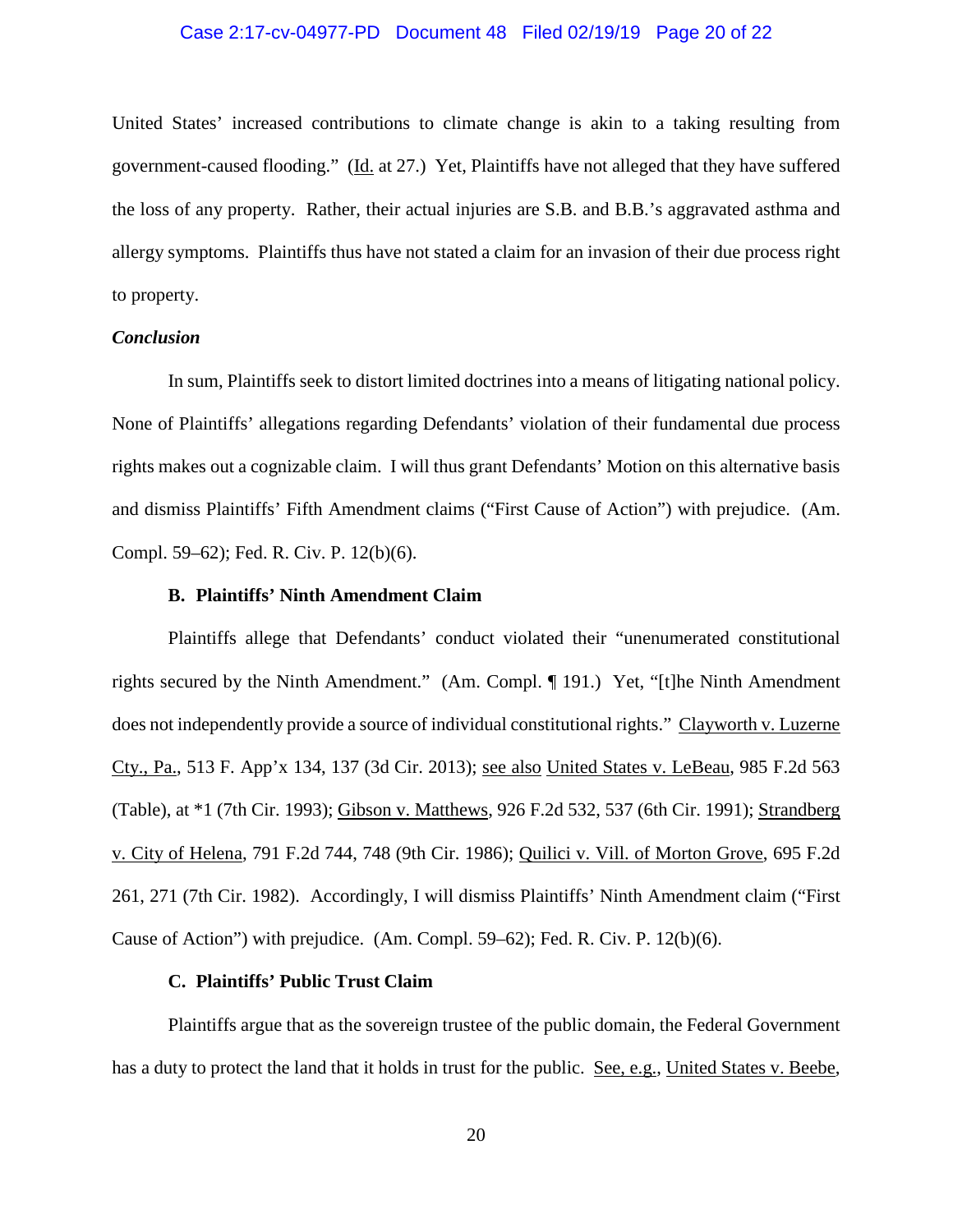#### Case 2:17-cv-04977-PD Document 48 Filed 02/19/19 Page 20 of 22

United States' increased contributions to climate change is akin to a taking resulting from government-caused flooding." (Id. at 27.) Yet, Plaintiffs have not alleged that they have suffered the loss of any property. Rather, their actual injuries are S.B. and B.B.'s aggravated asthma and allergy symptoms. Plaintiffs thus have not stated a claim for an invasion of their due process right to property.

#### *Conclusion*

In sum, Plaintiffs seek to distort limited doctrines into a means of litigating national policy. None of Plaintiffs' allegations regarding Defendants' violation of their fundamental due process rights makes out a cognizable claim. I will thus grant Defendants' Motion on this alternative basis and dismiss Plaintiffs' Fifth Amendment claims ("First Cause of Action") with prejudice. (Am. Compl. 59–62); Fed. R. Civ. P. 12(b)(6).

#### **B. Plaintiffs' Ninth Amendment Claim**

Plaintiffs allege that Defendants' conduct violated their "unenumerated constitutional rights secured by the Ninth Amendment." (Am. Compl. ¶ 191.) Yet, "[t]he Ninth Amendment does not independently provide a source of individual constitutional rights." Clayworth v. Luzerne Cty., Pa., 513 F. App'x 134, 137 (3d Cir. 2013); see also United States v. LeBeau, 985 F.2d 563 (Table), at \*1 (7th Cir. 1993); Gibson v. Matthews, 926 F.2d 532, 537 (6th Cir. 1991); Strandberg v. City of Helena, 791 F.2d 744, 748 (9th Cir. 1986); Quilici v. Vill. of Morton Grove, 695 F.2d 261, 271 (7th Cir. 1982). Accordingly, I will dismiss Plaintiffs' Ninth Amendment claim ("First Cause of Action") with prejudice. (Am. Compl. 59–62); Fed. R. Civ. P. 12(b)(6).

### **C. Plaintiffs' Public Trust Claim**

Plaintiffs argue that as the sovereign trustee of the public domain, the Federal Government has a duty to protect the land that it holds in trust for the public. See, e.g., United States v. Beebe,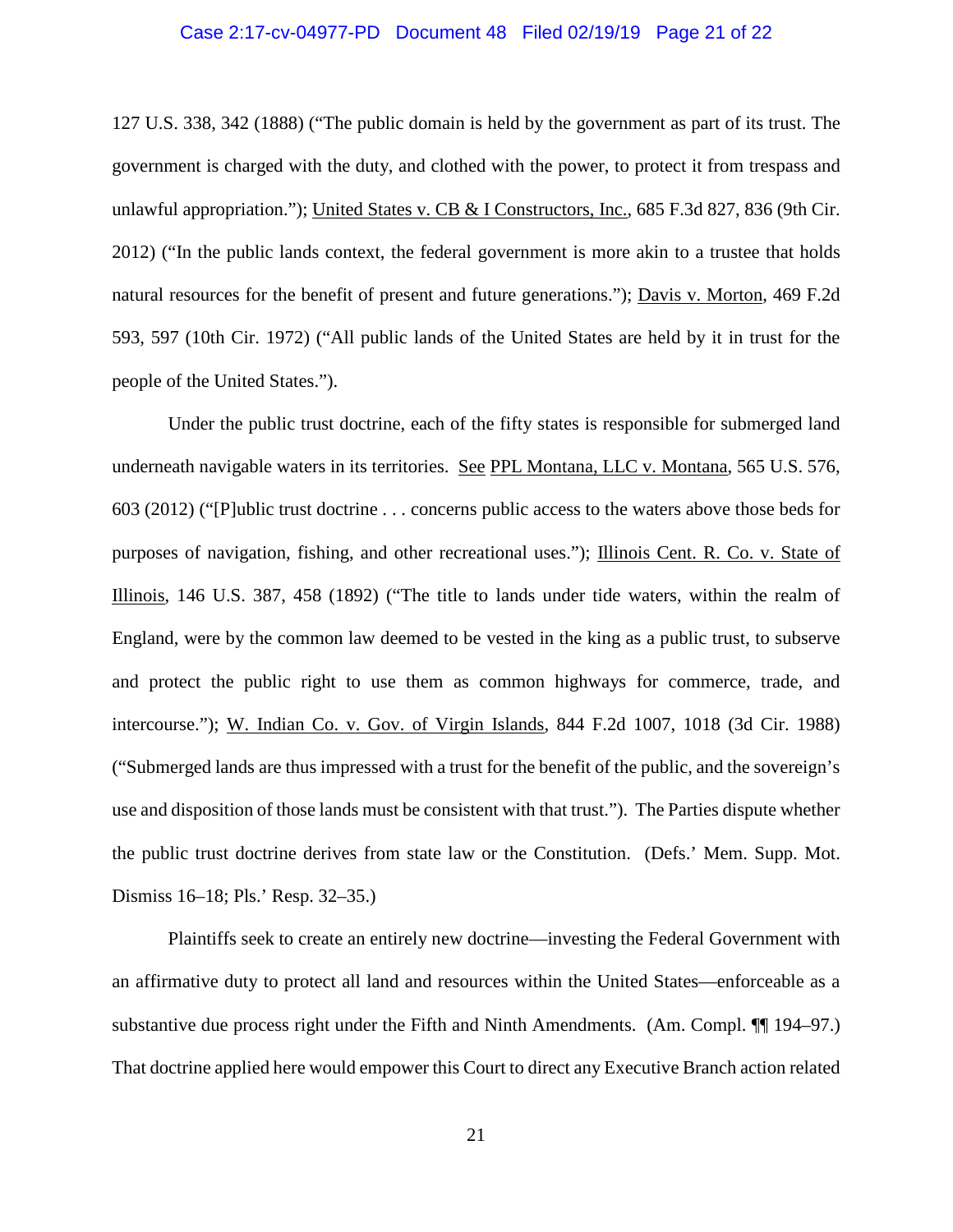#### Case 2:17-cv-04977-PD Document 48 Filed 02/19/19 Page 21 of 22

127 U.S. 338, 342 (1888) ("The public domain is held by the government as part of its trust. The government is charged with the duty, and clothed with the power, to protect it from trespass and unlawful appropriation."); United States v. CB & I Constructors, Inc., 685 F.3d 827, 836 (9th Cir. 2012) ("In the public lands context, the federal government is more akin to a trustee that holds natural resources for the benefit of present and future generations."); Davis v. Morton, 469 F.2d 593, 597 (10th Cir. 1972) ("All public lands of the United States are held by it in trust for the people of the United States.").

Under the public trust doctrine, each of the fifty states is responsible for submerged land underneath navigable waters in its territories. See PPL Montana, LLC v. Montana, 565 U.S. 576, 603 (2012) ("[P]ublic trust doctrine . . . concerns public access to the waters above those beds for purposes of navigation, fishing, and other recreational uses."); Illinois Cent. R. Co. v. State of Illinois, 146 U.S. 387, 458 (1892) ("The title to lands under tide waters, within the realm of England, were by the common law deemed to be vested in the king as a public trust, to subserve and protect the public right to use them as common highways for commerce, trade, and intercourse."); W. Indian Co. v. Gov. of Virgin Islands, 844 F.2d 1007, 1018 (3d Cir. 1988) ("Submerged lands are thus impressed with a trust for the benefit of the public, and the sovereign's use and disposition of those lands must be consistent with that trust."). The Parties dispute whether the public trust doctrine derives from state law or the Constitution. (Defs.' Mem. Supp. Mot. Dismiss 16–18; Pls.' Resp. 32–35.)

Plaintiffs seek to create an entirely new doctrine—investing the Federal Government with an affirmative duty to protect all land and resources within the United States—enforceable as a substantive due process right under the Fifth and Ninth Amendments. (Am. Compl. ¶¶ 194–97.) That doctrine applied here would empower this Court to direct any Executive Branch action related